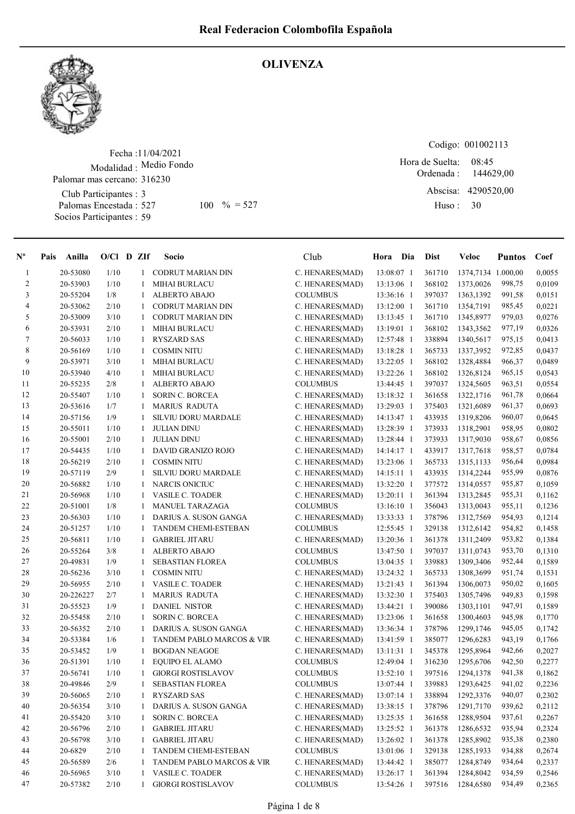

## **OLIVENZA**

Fecha : 11/04/2021 Modalidad : Medio Fondo Club Participantes : 3 Palomas Encestada : 527 Socios Participantes : 59 Palomar mas cercano: 316230 527 100 % = 527 Huso: 30

Codigo: 001002113

Ordenada : Abscisa: 4290520,00 Huso : 08:45 Hora de Suelta: 144629,00

| $N^{\circ}$             | Anilla<br>Pais | $O/Cl$ D ZIf |              | Socio                        | Club            | Hora Dia     | <b>Dist</b> | Veloc              | <b>Puntos</b> | Coef   |
|-------------------------|----------------|--------------|--------------|------------------------------|-----------------|--------------|-------------|--------------------|---------------|--------|
| $\mathbf{1}$            | 20-53080       | 1/10         |              | 1 CODRUT MARIAN DIN          | C. HENARES(MAD) | 13:08:07 1   | 361710      | 1374,7134 1.000,00 |               | 0,0055 |
| $\overline{\mathbf{c}}$ | 20-53903       | 1/10         | 1            | <b>MIHAI BURLACU</b>         | C. HENARES(MAD) | 13:13:06 1   | 368102      | 1373,0026          | 998,75        | 0,0109 |
| 3                       | 20-55204       | 1/8          | $\mathbf{1}$ | <b>ALBERTO ABAJO</b>         | <b>COLUMBUS</b> | 13:36:16 1   | 397037      | 1363,1392          | 991,58        | 0,0151 |
| 4                       | 20-53062       | 2/10         | 1            | CODRUT MARIAN DIN            | C. HENARES(MAD) | 13:12:00 1   | 361710      | 1354,7191          | 985,45        | 0,0221 |
| 5                       | 20-53009       | 3/10         | 1            | <b>CODRUT MARIAN DIN</b>     | C. HENARES(MAD) | 13:13:45 1   | 361710      | 1345,8977          | 979,03        | 0,0276 |
| 6                       | 20-53931       | 2/10         | 1            | <b>MIHAI BURLACU</b>         | C. HENARES(MAD) | 13:19:01 1   | 368102      | 1343,3562          | 977,19        | 0,0326 |
| 7                       | 20-56033       | 1/10         | $\mathbf{1}$ | <b>RYSZARD SAS</b>           | C. HENARES(MAD) | 12:57:48 1   | 338894      | 1340,5617          | 975,15        | 0,0413 |
| 8                       | 20-56169       | 1/10         | 1            | <b>COSMIN NITU</b>           | C. HENARES(MAD) | 13:18:28 1   | 365733      | 1337,3952          | 972,85        | 0,0437 |
| 9                       | 20-53971       | 3/10         | 1            | <b>MIHAI BURLACU</b>         | C. HENARES(MAD) | 13:22:05 1   | 368102      | 1328,4884          | 966,37        | 0,0489 |
| 10                      | 20-53940       | 4/10         | 1            | <b>MIHAI BURLACU</b>         | C. HENARES(MAD) | 13:22:26 1   | 368102      | 1326,8124          | 965,15        | 0,0543 |
| 11                      | 20-55235       | 2/8          | 1            | ALBERTO ABAJO                | <b>COLUMBUS</b> | 13:44:45 1   | 397037      | 1324,5605          | 963,51        | 0,0554 |
| 12                      | 20-55407       | 1/10         | 1            | <b>SORIN C. BORCEA</b>       | C. HENARES(MAD) | 13:18:32 1   | 361658      | 1322,1716          | 961,78        | 0,0664 |
| 13                      | 20-53616       | 1/7          | 1            | <b>MARIUS RADUTA</b>         | C. HENARES(MAD) | 13:29:03 1   | 375403      | 1321,6089          | 961,37        | 0,0693 |
| 14                      | 20-57156       | 1/9          | 1            | SILVIU DORU MARDALE          | C. HENARES(MAD) | 14:13:47 1   | 433935      | 1319,8206          | 960,07        | 0,0645 |
| 15                      | 20-55011       | 1/10         | 1            | <b>JULIAN DINU</b>           | C. HENARES(MAD) | 13:28:39 1   | 373933      | 1318,2901          | 958,95        | 0,0802 |
| 16                      | 20-55001       | 2/10         | 1            | <b>JULIAN DINU</b>           | C. HENARES(MAD) | 13:28:44 1   | 373933      | 1317,9030          | 958,67        | 0,0856 |
| 17                      | 20-54435       | 1/10         | 1            | DAVID GRANIZO ROJO           | C. HENARES(MAD) | $14:14:17$ 1 | 433917      | 1317,7618          | 958,57        | 0,0784 |
| 18                      | 20-56219       | 2/10         | 1            | <b>COSMIN NITU</b>           | C. HENARES(MAD) | 13:23:06 1   | 365733      | 1315, 1133         | 956,64        | 0,0984 |
| 19                      | 20-57119       | 2/9          | 1            | SILVIU DORU MARDALE          | C. HENARES(MAD) | 14:15:11 1   | 433935      | 1314,2244          | 955,99        | 0,0876 |
| 20                      | 20-56882       | 1/10         | $\mathbf{1}$ | <b>NARCIS ONICIUC</b>        | C. HENARES(MAD) | 13:32:20 1   | 377572      | 1314,0557          | 955,87        | 0,1059 |
| 21                      | 20-56968       | 1/10         | 1            | <b>VASILE C. TOADER</b>      | C. HENARES(MAD) | 13:20:11 1   | 361394      | 1313,2845          | 955,31        | 0,1162 |
| 22                      | 20-51001       | 1/8          | 1            | <b>MANUEL TARAZAGA</b>       | <b>COLUMBUS</b> | 13:16:10 1   | 356043      | 1313,0043          | 955,11        | 0,1236 |
| 23                      | 20-56303       | 1/10         | 1            | DARIUS A. SUSON GANGA        | C. HENARES(MAD) | 13:33:33 1   | 378796      | 1312,7569          | 954,93        | 0,1214 |
| 24                      | 20-51257       | 1/10         | 1            | TANDEM CHEMI-ESTEBAN         | <b>COLUMBUS</b> | 12:55:45 1   | 329138      | 1312,6142          | 954,82        | 0,1458 |
| 25                      | 20-56811       | 1/10         | 1            | <b>GABRIEL JITARU</b>        | C. HENARES(MAD) | 13:20:36 1   | 361378      | 1311,2409          | 953,82        | 0,1384 |
| 26                      | 20-55264       | $3/8$        | 1            | ALBERTO ABAJO                | <b>COLUMBUS</b> | 13:47:50 1   | 397037      | 1311,0743          | 953,70        | 0,1310 |
| 27                      | 20-49831       | 1/9          | 1            | <b>SEBASTIAN FLOREA</b>      | <b>COLUMBUS</b> | 13:04:35 1   | 339883      | 1309,3406          | 952,44        | 0,1589 |
| 28                      | 20-56236       | 3/10         | 1            | <b>COSMIN NITU</b>           | C. HENARES(MAD) | 13:24:32 1   | 365733      | 1308,3699          | 951,74        | 0,1531 |
| 29                      | 20-56955       | 2/10         | 1            | VASILE C. TOADER             | C. HENARES(MAD) | 13:21:43 1   | 361394      | 1306,0073          | 950,02        | 0,1605 |
| 30                      | 20-226227      | 2/7          | 1            | <b>MARIUS RADUTA</b>         | C. HENARES(MAD) | 13:32:30 1   | 375403      | 1305,7496          | 949,83        | 0,1598 |
| 31                      | 20-55523       | 1/9          | 1            | <b>DANIEL NISTOR</b>         | C. HENARES(MAD) | 13:44:21 1   | 390086      | 1303,1101          | 947,91        | 0,1589 |
| 32                      | 20-55458       | 2/10         | 1            | <b>SORIN C. BORCEA</b>       | C. HENARES(MAD) | 13:23:06 1   | 361658      | 1300,4603          | 945,98        | 0,1770 |
| 33                      | 20-56352       | 2/10         | 1            | DARIUS A. SUSON GANGA        | C. HENARES(MAD) | 13:36:34 1   | 378796      | 1299,1746          | 945,05        | 0,1742 |
| 34                      | 20-53384       | 1/6          | 1            | TANDEM PABLO MARCOS & VIR    | C. HENARES(MAD) | 13:41:59 1   | 385077      | 1296,6283          | 943,19        | 0,1766 |
| 35                      | 20-53452       | 1/9          | -1           | <b>BOGDAN NEAGOE</b>         | C. HENARES(MAD) | 13:11:31 1   | 345378      | 1295,8964          | 942,66        | 0,2027 |
| 36                      | 20-51391       | 1/10         |              | EQUIPO EL ALAMO              | <b>COLUMBUS</b> | 12:49:04 1   | 316230      | 1295,6706          | 942,50        | 0,2277 |
| 37                      | 20-56741       | 1/10         | 1            | <b>GIORGI ROSTISLAVOV</b>    | <b>COLUMBUS</b> | 13:52:10 1   | 397516      | 1294,1378          | 941,38        | 0,1862 |
| 38                      | 20-49846       | 2/9          | 1            | SEBASTIAN FLOREA             | <b>COLUMBUS</b> | 13:07:44 1   | 339883      | 1293,6425          | 941,02        | 0,2236 |
| 39                      | 20-56065       | 2/10         | 1            | <b>RYSZARD SAS</b>           | C. HENARES(MAD) | 13:07:14 1   | 338894      | 1292,3376          | 940,07        | 0,2302 |
| 40                      | 20-56354       | 3/10         | 1            | <b>DARIUS A. SUSON GANGA</b> | C. HENARES(MAD) | 13:38:15 1   | 378796      | 1291,7170          | 939,62        | 0,2112 |
| 41                      | 20-55420       | 3/10         | 1            | SORIN C. BORCEA              | C. HENARES(MAD) | 13:25:35 1   | 361658      | 1288,9504          | 937,61        | 0,2267 |
| 42                      | 20-56796       | 2/10         | 1            | <b>GABRIEL JITARU</b>        | C. HENARES(MAD) | 13:25:52 1   | 361378      | 1286,6532          | 935,94        | 0,2324 |
| 43                      | 20-56798       | 3/10         | $\mathbf{1}$ | <b>GABRIEL JITARU</b>        | C. HENARES(MAD) | 13:26:02 1   | 361378      | 1285,8902          | 935,38        | 0,2380 |
| 44                      | 20-6829        | 2/10         | 1            | TANDEM CHEMI-ESTEBAN         | <b>COLUMBUS</b> | 13:01:06 1   | 329138      | 1285,1933          | 934,88        | 0,2674 |
| 45                      | 20-56589       | 2/6          | 1            | TANDEM PABLO MARCOS & VIR    | C. HENARES(MAD) | 13:44:42 1   | 385077      | 1284,8749          | 934,64        | 0,2337 |
| 46                      | 20-56965       | 3/10         | 1            | <b>VASILE C. TOADER</b>      | C. HENARES(MAD) | 13:26:17 1   | 361394      | 1284,8042          | 934,59        | 0,2546 |
| 47                      | 20-57382       | 2/10         | 1            | <b>GIORGI ROSTISLAVOV</b>    | <b>COLUMBUS</b> | 13:54:26 1   | 397516      | 1284,6580          | 934,49        | 0,2365 |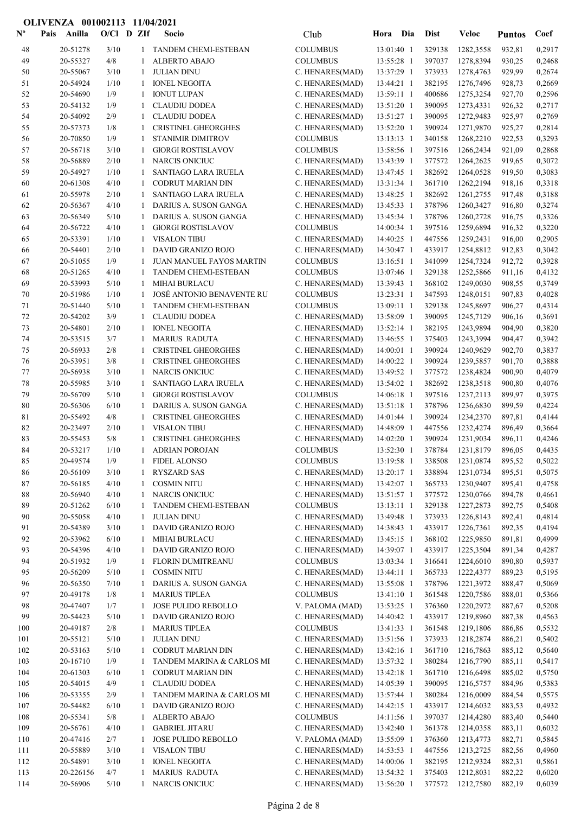| $N^{\text{o}}$ | Anilla<br>Pais       | $O/Cl$ D ZIf |              | Socio                                                 | Club                               | Hora Dia                 | <b>Dist</b>      | <b>Veloc</b>           | <b>Puntos</b>    | Coef             |
|----------------|----------------------|--------------|--------------|-------------------------------------------------------|------------------------------------|--------------------------|------------------|------------------------|------------------|------------------|
| 48             | 20-51278             | 3/10         | 1            | <b>TANDEM CHEMI-ESTEBAN</b>                           | <b>COLUMBUS</b>                    | 13:01:40 1               | 329138           | 1282,3558              | 932,81           | 0,2917           |
| 49             | 20-55327             | $4/8$        | 1            | ALBERTO ABAJO                                         | <b>COLUMBUS</b>                    | 13:55:28 1               | 397037           | 1278,8394              | 930,25           | 0,2468           |
| 50             | 20-55067             | 3/10         | 1            | <b>JULIAN DINU</b>                                    | C. HENARES(MAD)                    | 13:37:29 1               | 373933           | 1278,4763              | 929,99           | 0,2674           |
| 51             | 20-54924             | 1/10         | 1            | <b>IONEL NEGOITA</b>                                  | C. HENARES(MAD)                    | 13:44:21 1               | 382195           | 1276,7496              | 928,73           | 0,2669           |
| 52             | 20-54690             | 1/9          | 1            | <b>IONUT LUPAN</b>                                    | C. HENARES(MAD)                    | 13:59:11 1               | 400686           | 1275,3254              | 927,70           | 0,2596           |
| 53             | 20-54132             | 1/9          | 1            | <b>CLAUDIU DODEA</b>                                  | C. HENARES(MAD)                    | 13:51:20 1               | 390095           | 1273,4331              | 926,32           | 0,2717           |
| 54             | 20-54092             | 2/9          | 1            | <b>CLAUDIU DODEA</b>                                  | C. HENARES(MAD)                    | 13:51:27 1               | 390095           | 1272,9483              | 925,97           | 0,2769           |
| 55             | 20-57373             | 1/8          | 1            | <b>CRISTINEL GHEORGHES</b>                            | C. HENARES(MAD)                    | 13:52:20 1               | 390924           | 1271,9870              | 925,27           | 0,2814           |
| 56<br>57       | 20-70850<br>20-56718 | 1/9<br>3/10  | 1<br>1       | <b>STANIMIR DIMITROV</b><br><b>GIORGI ROSTISLAVOV</b> | <b>COLUMBUS</b><br><b>COLUMBUS</b> | 13:13:13 1<br>13:58:56 1 | 340158<br>397516 | 1268,2210<br>1266,2434 | 922,53<br>921,09 | 0,3293<br>0,2868 |
| 58             | 20-56889             | 2/10         |              | <b>NARCIS ONICIUC</b>                                 | C. HENARES(MAD)                    | 13:43:39 1               | 377572           | 1264,2625              | 919,65           | 0,3072           |
| 59             | 20-54927             | 1/10         | 1            | SANTIAGO LARA IRUELA                                  | C. HENARES(MAD)                    | 13:47:45 1               | 382692           | 1264,0528              | 919,50           | 0,3083           |
| 60             | 20-61308             | 4/10         | 1            | CODRUT MARIAN DIN                                     | C. HENARES(MAD)                    | 13:31:34 1               | 361710           | 1262,2194              | 918,16           | 0,3318           |
| 61             | 20-55978             | 2/10         | 1            | SANTIAGO LARA IRUELA                                  | C. HENARES(MAD)                    | 13:48:25 1               | 382692           | 1261,2755              | 917,48           | 0,3188           |
| 62             | 20-56367             | 4/10         | 1            | DARIUS A. SUSON GANGA                                 | C. HENARES(MAD)                    | 13:45:33 1               | 378796           | 1260,3427              | 916,80           | 0,3274           |
| 63             | 20-56349             | 5/10         | 1            | DARIUS A. SUSON GANGA                                 | C. HENARES(MAD)                    | 13:45:34 1               | 378796           | 1260,2728              | 916,75           | 0,3326           |
| 64             | 20-56722             | 4/10         | 1            | <b>GIORGI ROSTISLAVOV</b>                             | <b>COLUMBUS</b>                    | 14:00:34 1               | 397516           | 1259,6894              | 916,32           | 0,3220           |
| 65             | 20-53391             | 1/10         | 1            | <b>VISALON TIBU</b>                                   | C. HENARES(MAD)                    | 14:40:25 1               | 447556           | 1259,2431              | 916,00           | 0,2905           |
| 66             | 20-54401             | 2/10         | 1            | DAVID GRANIZO ROJO                                    | C. HENARES(MAD)                    | 14:30:47 1               | 433917           | 1254,8812              | 912,83           | 0,3042           |
| 67             | 20-51055             | 1/9          | 1            | JUAN MANUEL FAYOS MARTIN                              | <b>COLUMBUS</b>                    | 13:16:51 1               | 341099           | 1254,7324              | 912,72           | 0,3928           |
| 68             | 20-51265             | 4/10         | 1            | <b>TANDEM CHEMI-ESTEBAN</b>                           | <b>COLUMBUS</b>                    | 13:07:46 1               | 329138           | 1252,5866              | 911,16           | 0,4132           |
| 69             | 20-53993             | 5/10         | 1            | MIHAI BURLACU                                         | C. HENARES(MAD)                    | 13:39:43 1               | 368102           | 1249,0030              | 908,55           | 0,3749           |
| 70             | 20-51986             | 1/10         |              | JOSÉ ANTONIO BENAVENTE RU                             | <b>COLUMBUS</b>                    | 13:23:31 1               | 347593           | 1248,0151              | 907,83           | 0,4028           |
| 71             | 20-51440             | 5/10<br>3/9  | 1            | TANDEM CHEMI-ESTEBAN                                  | <b>COLUMBUS</b>                    | 13:09:11 1               | 329138           | 1245,8697              | 906,27           | 0,4314           |
| 72<br>73       | 20-54202<br>20-54801 | 2/10         | 1<br>1       | <b>CLAUDIU DODEA</b><br><b>IONEL NEGOITA</b>          | C. HENARES(MAD)<br>C. HENARES(MAD) | 13:58:09 1<br>13:52:14 1 | 390095<br>382195 | 1245,7129<br>1243,9894 | 906,16<br>904,90 | 0,3691<br>0,3820 |
| 74             | 20-53515             | 3/7          | 1            | <b>MARIUS RADUTA</b>                                  | C. HENARES(MAD)                    | 13:46:55 1               | 375403           | 1243,3994              | 904,47           | 0,3942           |
| 75             | 20-56933             | $2/8$        | 1            | <b>CRISTINEL GHEORGHES</b>                            | C. HENARES(MAD)                    | 14:00:01 1               | 390924           | 1240,9629              | 902,70           | 0,3837           |
| 76             | 20-53951             | 3/8          | 1            | <b>CRISTINEL GHEORGHES</b>                            | C. HENARES(MAD)                    | 14:00:22 1               | 390924           | 1239,5857              | 901,70           | 0,3888           |
| 77             | 20-56938             | 3/10         | 1            | <b>NARCIS ONICIUC</b>                                 | C. HENARES(MAD)                    | 13:49:52 1               | 377572           | 1238,4824              | 900,90           | 0,4079           |
| 78             | 20-55985             | 3/10         | 1            | SANTIAGO LARA IRUELA                                  | C. HENARES(MAD)                    | 13:54:02 1               | 382692           | 1238,3518              | 900,80           | 0,4076           |
| 79             | 20-56709             | 5/10         | 1            | <b>GIORGI ROSTISLAVOV</b>                             | <b>COLUMBUS</b>                    | 14:06:18 1               | 397516           | 1237,2113              | 899,97           | 0,3975           |
| 80             | 20-56306             | 6/10         | 1            | DARIUS A. SUSON GANGA                                 | C. HENARES(MAD)                    | 13:51:18 1               | 378796           | 1236,6830              | 899,59           | 0,4224           |
| 81             | 20-55492             | 4/8          | 1            | <b>CRISTINEL GHEORGHES</b>                            | C. HENARES(MAD)                    | $14:01:44$ 1             | 390924           | 1234,2370              | 897,81           | 0,4144           |
| 82             | 20-23497             | 2/10         | 1            | <b>VISALON TIBU</b>                                   | C. HENARES(MAD)                    | 14:48:09 1               | 447556           | 1232,4274              | 896,49           | 0,3664           |
| 83             | 20-55453             | 5/8          |              | <b>CRISTINEL GHEORGHES</b>                            | C. HENARES(MAD)                    | 14:02:20 1               | 390924           | 1231,9034              | 896,11           | 0,4246           |
| 84             | 20-53217             | 1/10         | 1            | <b>ADRIAN POROJAN</b>                                 | <b>COLUMBUS</b>                    | 13:52:30 1               | 378784           | 1231,8179              | 896,05           | 0,4435           |
| 85             | 20-49574             | $1/9$        | $\mathbf{1}$ | <b>FIDEL ALONSO</b>                                   | <b>COLUMBUS</b>                    | 13:19:58 1               | 338508           | 1231,0874              | 895,52           | 0,5022           |
| 86             | 20-56109             | 3/10         | $\mathbf{1}$ | <b>RYSZARD SAS</b>                                    | C. HENARES(MAD)                    | 13:20:17 1               | 338894<br>365733 | 1231,0734              | 895,51           | 0,5075<br>0,4758 |
| 87<br>$\bf 88$ | 20-56185<br>20-56940 | 4/10<br>4/10 | 1<br>1       | <b>COSMIN NITU</b><br><b>NARCIS ONICIUC</b>           | C. HENARES(MAD)<br>C. HENARES(MAD) | 13:42:07 1<br>13:51:57 1 | 377572           | 1230,9407<br>1230,0766 | 895,41<br>894,78 | 0,4661           |
| 89             | 20-51262             | 6/10         | 1            | TANDEM CHEMI-ESTEBAN                                  | <b>COLUMBUS</b>                    | 13:13:11 1               | 329138           | 1227,2873              | 892,75           | 0,5408           |
| 90             | 20-55058             | 4/10         | 1            | <b>JULIAN DINU</b>                                    | C. HENARES(MAD)                    | 13:49:48 1               | 373933           | 1226,8143              | 892,41           | 0,4814           |
| 91             | 20-54389             | 3/10         | 1            | DAVID GRANIZO ROJO                                    | C. HENARES(MAD)                    | 14:38:43 1               | 433917           | 1226,7361              | 892,35           | 0,4194           |
| 92             | 20-53962             | 6/10         | -1           | <b>MIHAI BURLACU</b>                                  | C. HENARES(MAD)                    | 13:45:15 1               | 368102           | 1225,9850              | 891,81           | 0,4999           |
| 93             | 20-54396             | 4/10         | 1            | DAVID GRANIZO ROJO                                    | C. HENARES(MAD)                    | 14:39:07 1               | 433917           | 1225,3504              | 891,34           | 0,4287           |
| 94             | 20-51932             | 1/9          | 1            | <b>FLORIN DUMITREANU</b>                              | <b>COLUMBUS</b>                    | 13:03:34 1               | 316641           | 1224,6010              | 890,80           | 0,5937           |
| 95             | 20-56209             | 5/10         | 1            | <b>COSMIN NITU</b>                                    | C. HENARES(MAD)                    | 13:44:11 1               | 365733           | 1222,4377              | 889,23           | 0,5195           |
| 96             | 20-56350             | 7/10         | 1            | DARIUS A. SUSON GANGA                                 | C. HENARES(MAD)                    | 13:55:08 1               | 378796           | 1221,3972              | 888,47           | 0,5069           |
| 97             | 20-49178             | 1/8          | 1            | <b>MARIUS TIPLEA</b>                                  | <b>COLUMBUS</b>                    | 13:41:10 1               | 361548           | 1220,7586              | 888,01           | 0,5366           |
| 98             | 20-47407             | 1/7          | 1            | JOSE PULIDO REBOLLO                                   | V. PALOMA (MAD)                    | 13:53:25 1               | 376360           | 1220,2972              | 887,67           | 0,5208           |
| 99             | 20-54423             | 5/10         | 1            | DAVID GRANIZO ROJO                                    | C. HENARES(MAD)                    | 14:40:42 1               | 433917           | 1219,8960              | 887,38           | 0,4563           |
| 100            | 20-49187             | 2/8          | 1            | <b>MARIUS TIPLEA</b>                                  | <b>COLUMBUS</b>                    | 13:41:33 1               | 361548           | 1219,1806              | 886,86           | 0,5532           |
| 101            | 20-55121<br>20-53163 | 5/10         | 1            | <b>JULIAN DINU</b><br><b>CODRUT MARIAN DIN</b>        | C. HENARES(MAD)<br>C. HENARES(MAD) | 13:51:56 1               | 373933<br>361710 | 1218,2874              | 886,21           | 0,5402<br>0,5640 |
| 102<br>103     | 20-16710             | 5/10<br>1/9  | 1<br>1       | TANDEM MARINA & CARLOS MI                             | C. HENARES(MAD)                    | 13:42:16 1<br>13:57:32 1 | 380284           | 1216,7863<br>1216,7790 | 885,12<br>885,11 | 0,5417           |
| 104            | 20-61303             | 6/10         | 1            | <b>CODRUT MARIAN DIN</b>                              | C. HENARES(MAD)                    | 13:42:18 1               | 361710           | 1216,6498              | 885,02           | 0,5750           |
| 105            | 20-54015             | 4/9          | 1            | <b>CLAUDIU DODEA</b>                                  | C. HENARES(MAD)                    | 14:05:39 1               | 390095           | 1216,5757              | 884,96           | 0,5383           |
| 106            | 20-53355             | 2/9          | 1            | TANDEM MARINA & CARLOS MI                             | C. HENARES(MAD)                    | 13:57:44 1               | 380284           | 1216,0009              | 884,54           | 0,5575           |
| 107            | 20-54482             | 6/10         | 1            | DAVID GRANIZO ROJO                                    | C. HENARES(MAD)                    | 14:42:15 1               | 433917           | 1214,6032              | 883,53           | 0,4932           |
| 108            | 20-55341             | 5/8          | 1            | ALBERTO ABAJO                                         | <b>COLUMBUS</b>                    | 14:11:56 1               | 397037           | 1214,4280              | 883,40           | 0,5440           |
| 109            | 20-56761             | 4/10         | $\mathbf{1}$ | <b>GABRIEL JITARU</b>                                 | C. HENARES(MAD)                    | 13:42:40 1               | 361378           | 1214,0358              | 883,11           | 0,6032           |
| 110            | 20-47416             | 2/7          | 1            | JOSE PULIDO REBOLLO                                   | V. PALOMA (MAD)                    | 13:55:09 1               | 376360           | 1213,4773              | 882,71           | 0,5845           |
| 111            | 20-55889             | 3/10         | 1            | <b>VISALON TIBU</b>                                   | C. HENARES(MAD)                    | $14:53:53$ 1             | 447556           | 1213,2725              | 882,56           | 0,4960           |
| 112            | 20-54891             | 3/10         | 1            | <b>IONEL NEGOITA</b>                                  | C. HENARES(MAD)                    | 14:00:06 1               | 382195           | 1212,9324              | 882,31           | 0,5861           |
| 113            | 20-226156            | 4/7          | 1            | <b>MARIUS RADUTA</b>                                  | C. HENARES(MAD)                    | 13:54:32 1               | 375403           | 1212,8031              | 882,22           | 0,6020           |
| 114            | 20-56906             | 5/10         | 1            | <b>NARCIS ONICIUC</b>                                 | C. HENARES(MAD)                    | 13:56:20 1               | 377572           | 1212,7580              | 882,19           | 0,6039           |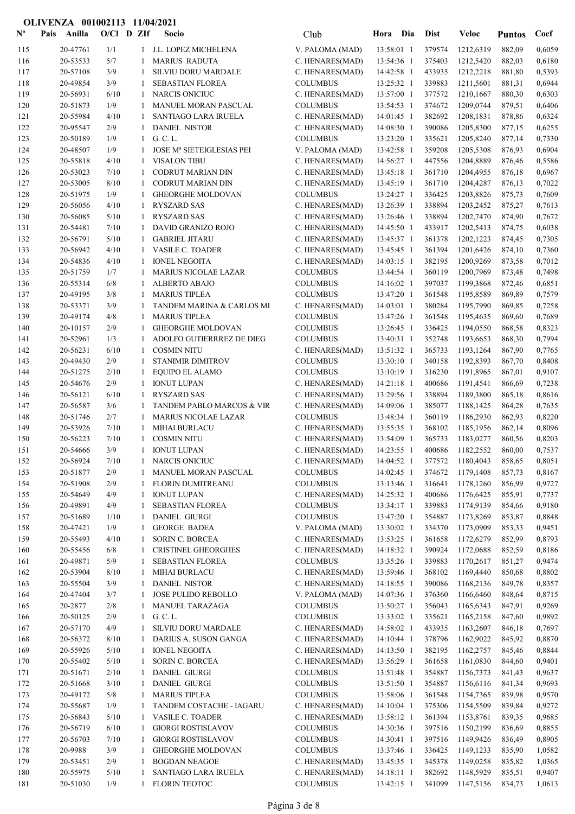| $\mathbf{N}^{\mathbf{o}}$ | Anilla<br>Pais       | $O/Cl$ D ZIf |                   | Socio                                             | Club                               | Hora Dia                   |            | <b>Dist</b>      | Veloc                  | <b>Puntos</b>    | Coef             |
|---------------------------|----------------------|--------------|-------------------|---------------------------------------------------|------------------------------------|----------------------------|------------|------------------|------------------------|------------------|------------------|
| 115                       | 20-47761             | 1/1          |                   | 1 J.L. LOPEZ MICHELENA                            | V. PALOMA (MAD)                    | 13:58:01 1                 |            | 379574           | 1212,6319              | 882,09           | 0,6059           |
| 116                       | 20-53533             | 5/7          | 1                 | <b>MARIUS RADUTA</b>                              | C. HENARES(MAD)                    | 13:54:36 1                 |            | 375403           | 1212,5420              | 882,03           | 0,6180           |
| 117                       | 20-57108             | 3/9          | 1                 | SILVIU DORU MARDALE                               | C. HENARES(MAD)                    | 14:42:58 1                 |            | 433935           | 1212,2218              | 881,80           | 0,5393           |
| 118                       | 20-49854             | 3/9          | 1                 | SEBASTIAN FLOREA                                  | <b>COLUMBUS</b>                    | 13:25:32 1                 |            | 339883           | 1211,5601              | 881,31           | 0,6944           |
| 119                       | 20-56931             | 6/10         | 1                 | <b>NARCIS ONICIUC</b>                             | C. HENARES(MAD)                    | 13:57:00 1                 |            | 377572           | 1210,1667              | 880,30           | 0,6303           |
| 120                       | 20-51873             | 1/9          | 1                 | MANUEL MORAN PASCUAL                              | <b>COLUMBUS</b>                    | 13:54:53 1                 |            | 374672           | 1209,0744              | 879,51           | 0,6406           |
| 121                       | 20-55984             | 4/10         | 1                 | SANTIAGO LARA IRUELA                              | C. HENARES(MAD)                    | 14:01:45 1                 |            | 382692           | 1208,1831              | 878,86           | 0,6324           |
| 122                       | 20-95547             | 2/9          | 1                 | <b>DANIEL NISTOR</b><br>G. C. L.                  | C. HENARES(MAD)                    | 14:08:30 1                 |            | 390086           | 1205,8300              | 877,15           | 0,6255           |
| 123<br>124                | 20-50189<br>20-48507 | 1/9<br>1/9   | 1<br>$\mathbf{1}$ | <b>JOSE Mª SIETEIGLESIAS PEI</b>                  | <b>COLUMBUS</b><br>V. PALOMA (MAD) | 13:23:20 1<br>13:42:58 1   |            | 335621<br>359208 | 1205,8240<br>1205,5308 | 877,14<br>876,93 | 0,7330<br>0,6904 |
| 125                       | 20-55818             | 4/10         | 1                 | <b>VISALON TIBU</b>                               | C. HENARES(MAD)                    | 14:56:27 1                 |            | 447556           | 1204,8889              | 876,46           | 0,5586           |
| 126                       | 20-53023             | 7/10         | 1                 | <b>CODRUT MARIAN DIN</b>                          | C. HENARES(MAD)                    | 13:45:18 1                 |            | 361710           | 1204,4955              | 876,18           | 0,6967           |
| 127                       | 20-53005             | 8/10         | 1                 | CODRUT MARIAN DIN                                 | C. HENARES(MAD)                    | 13:45:19 1                 |            | 361710           | 1204,4287              | 876,13           | 0,7022           |
| 128                       | 20-51975             | 1/9          | 1                 | <b>GHEORGHE MOLDOVAN</b>                          | <b>COLUMBUS</b>                    | 13:24:27 1                 |            | 336425           | 1203,8826              | 875,73           | 0,7609           |
| 129                       | 20-56056             | 4/10         | 1                 | <b>RYSZARD SAS</b>                                | C. HENARES(MAD)                    | 13:26:39 1                 |            | 338894           | 1203,2452              | 875,27           | 0,7613           |
| 130                       | 20-56085             | 5/10         | 1                 | <b>RYSZARD SAS</b>                                | C. HENARES(MAD)                    | 13:26:46 1                 |            | 338894           | 1202,7470              | 874,90           | 0,7672           |
| 131                       | 20-54481             | 7/10         | 1                 | DAVID GRANIZO ROJO                                | C. HENARES(MAD)                    | 14:45:50 1                 |            | 433917           | 1202,5413              | 874,75           | 0,6038           |
| 132                       | 20-56791             | 5/10         | 1                 | <b>GABRIEL JITARU</b>                             | C. HENARES(MAD)                    | 13:45:37 1                 |            | 361378           | 1202,1223              | 874,45           | 0,7305           |
| 133                       | 20-56942             | 4/10         | 1                 | <b>VASILE C. TOADER</b>                           | C. HENARES(MAD)                    | 13:45:45 1                 |            | 361394           | 1201,6426              | 874,10           | 0,7360           |
| 134                       | 20-54836             | 4/10         | 1                 | <b>IONEL NEGOITA</b>                              | C. HENARES(MAD)                    | 14:03:15 1                 |            | 382195           | 1200,9269              | 873,58           | 0,7012           |
| 135                       | 20-51759             | 1/7          | 1                 | <b>MARIUS NICOLAE LAZAR</b>                       | <b>COLUMBUS</b>                    | 13:44:54 1                 |            | 360119           | 1200,7969              | 873,48           | 0,7498           |
| 136                       | 20-55314             | 6/8          | 1                 | ALBERTO ABAJO                                     | <b>COLUMBUS</b>                    | 14:16:02 1                 |            | 397037           | 1199,3868              | 872,46           | 0,6851           |
| 137                       | 20-49195             | 3/8          | 1                 | <b>MARIUS TIPLEA</b>                              | <b>COLUMBUS</b>                    | 13:47:20 1                 |            | 361548           | 1195,8589              | 869,89           | 0,7579           |
| 138<br>139                | 20-53371<br>20-49174 | 3/9<br>4/8   | 1<br>1            | TANDEM MARINA & CARLOS MI<br><b>MARIUS TIPLEA</b> | C. HENARES(MAD)<br><b>COLUMBUS</b> | $14:03:01$ 1<br>13:47:26 1 |            | 380284<br>361548 | 1195,7990<br>1195,4635 | 869,85<br>869,60 | 0,7258<br>0,7689 |
| 140                       | 20-10157             | 2/9          | 1                 | <b>GHEORGHE MOLDOVAN</b>                          | <b>COLUMBUS</b>                    | 13:26:45 1                 |            | 336425           | 1194,0550              | 868,58           | 0,8323           |
| 141                       | 20-52961             | 1/3          | 1                 | ADOLFO GUTIERRREZ DE DIEG                         | <b>COLUMBUS</b>                    | 13:40:31 1                 |            | 352748           | 1193,6653              | 868,30           | 0,7994           |
| 142                       | 20-56231             | 6/10         | 1                 | <b>COSMIN NITU</b>                                | C. HENARES(MAD)                    | 13:51:32 1                 |            | 365733           | 1193,1264              | 867,90           | 0,7765           |
| 143                       | 20-49430             | 2/9          | 1                 | <b>STANIMIR DIMITROV</b>                          | <b>COLUMBUS</b>                    | 13:30:10 1                 |            | 340158           | 1192,8393              | 867,70           | 0,8408           |
| 144                       | 20-51275             | 2/10         | 1                 | <b>EQUIPO EL ALAMO</b>                            | <b>COLUMBUS</b>                    | 13:10:19 1                 |            | 316230           | 1191,8965              | 867,01           | 0,9107           |
| 145                       | 20-54676             | 2/9          | 1                 | <b>IONUT LUPAN</b>                                | C. HENARES(MAD)                    | $14:21:18$ 1               |            | 400686           | 1191,4541              | 866,69           | 0,7238           |
| 146                       | 20-56121             | 6/10         | 1                 | <b>RYSZARD SAS</b>                                | C. HENARES(MAD)                    | 13:29:56 1                 |            | 338894           | 1189,3800              | 865,18           | 0,8616           |
| 147                       | 20-56587             | 3/6          | 1                 | TANDEM PABLO MARCOS & VIR                         | C. HENARES(MAD)                    | 14:09:06 1                 |            | 385077           | 1188,1425              | 864,28           | 0,7635           |
| 148                       | 20-51746             | 2/7          | 1                 | <b>MARIUS NICOLAE LAZAR</b>                       | <b>COLUMBUS</b>                    | 13:48:34 1                 |            | 360119           | 1186,2930              | 862,93           | 0,8220           |
| 149                       | 20-53926             | 7/10         | 1                 | <b>MIHAI BURLACU</b>                              | C. HENARES(MAD)                    | 13:55:35 1                 |            | 368102           | 1185,1956              | 862,14           | 0,8096           |
| 150                       | 20-56223             | 7/10         | $\mathbf{1}$      | <b>COSMIN NITU</b>                                | C. HENARES(MAD)                    | 13:54:09 1                 |            | 365733           | 1183,0277              | 860,56           | 0,8203           |
| 151                       | 20-54666             | 3/9          | 1                 | <b>IONUT LUPAN</b>                                | C. HENARES(MAD)                    | 14:23:55 1                 |            | 400686           | 1182,2552              | 860,00           | 0,7537           |
| 152                       | 20-56924             | $7/10$       |                   | 1 NARCIS ONICIUC                                  | C. HENARES(MAD)                    |                            | 14:04:52 1 |                  | 377572 1180,4043       | 858,65           | 0,8051           |
| 153<br>154                | 20-51877<br>20-51908 | 2/9<br>2/9   |                   | 1 MANUEL MORAN PASCUAL<br>FLORIN DUMITREANU       | <b>COLUMBUS</b><br><b>COLUMBUS</b> | $14:02:45$ 1               |            | 374672<br>316641 | 1179,1408<br>1178,1260 | 857,73<br>856,99 | 0,8167<br>0,9727 |
| 155                       | 20-54649             | 4/9          | 1<br>1            | <b>IONUT LUPAN</b>                                | C. HENARES(MAD)                    | 13:13:46 1<br>14:25:32 1   |            | 400686           | 1176,6425              | 855,91           | 0,7737           |
| 156                       | 20-49891             | 4/9          | 1                 | <b>SEBASTIAN FLOREA</b>                           | <b>COLUMBUS</b>                    | 13:34:17 1                 |            | 339883           | 1174,9139              | 854,66           | 0,9180           |
| 157                       | 20-51689             | 1/10         | 1                 | <b>DANIEL GIURGI</b>                              | <b>COLUMBUS</b>                    | 13:47:20 1                 |            | 354887           | 1173,8269              | 853,87           | 0,8848           |
| 158                       | 20-47421             | 1/9          | 1                 | <b>GEORGE BADEA</b>                               | V. PALOMA (MAD)                    | 13:30:02 1                 |            | 334370           | 1173,0909              | 853,33           | 0,9451           |
| 159                       | 20-55493             | 4/10         | 1                 | SORIN C. BORCEA                                   | C. HENARES(MAD)                    | 13:53:25 1                 |            | 361658           | 1172,6279              | 852,99           | 0,8793           |
| 160                       | 20-55456             | 6/8          | 1                 | <b>CRISTINEL GHEORGHES</b>                        | C. HENARES(MAD)                    | 14:18:32 1                 |            | 390924           | 1172,0688              | 852,59           | 0,8186           |
| 161                       | 20-49871             | 5/9          | 1                 | <b>SEBASTIAN FLOREA</b>                           | <b>COLUMBUS</b>                    | 13:35:26 1                 |            | 339883           | 1170,2617              | 851,27           | 0,9474           |
| 162                       | 20-53904             | 8/10         | 1                 | MIHAI BURLACU                                     | C. HENARES(MAD)                    | 13:59:46 1                 |            | 368102           | 1169,4440              | 850,68           | 0,8802           |
| 163                       | 20-55504             | 3/9          | 1                 | <b>DANIEL NISTOR</b>                              | C. HENARES(MAD)                    | 14:18:55 1                 |            | 390086           | 1168,2136              | 849,78           | 0,8357           |
| 164                       | 20-47404             | 3/7          | 1                 | JOSE PULIDO REBOLLO                               | V. PALOMA (MAD)                    | 14:07:36 1                 |            | 376360           | 1166,6460              | 848,64           | 0,8715           |
| 165                       | 20-2877              | 2/8          | 1                 | MANUEL TARAZAGA                                   | <b>COLUMBUS</b>                    | 13:50:27 1                 |            | 356043           | 1165,6343              | 847,91           | 0,9269           |
| 166                       | 20-50125             | 2/9          | $\mathbf{1}$      | G. C. L.                                          | <b>COLUMBUS</b>                    | 13:33:02 1                 |            | 335621           | 1165,2158              | 847,60           | 0,9892           |
| 167                       | 20-57170             | 4/9          | 1                 | SILVIU DORU MARDALE                               | C. HENARES(MAD)                    | 14:58:02 1                 |            | 433935           | 1163,2607              | 846,18           | 0,7697           |
| 168                       | 20-56372             | 8/10         |                   | DARIUS A. SUSON GANGA                             | C. HENARES(MAD)                    | 14:10:44 1                 |            | 378796           | 1162,9022              | 845,92           | 0,8870           |
| 169<br>170                | 20-55926<br>20-55402 | 5/10<br>5/10 | $\mathbf{1}$<br>1 | <b>IONEL NEGOITA</b><br>SORIN C. BORCEA           | C. HENARES(MAD)<br>C. HENARES(MAD) | 14:13:50 1<br>13:56:29 1   |            | 382195<br>361658 | 1162,2757<br>1161,0830 | 845,46<br>844,60 | 0,8844<br>0,9401 |
| 171                       | 20-51671             | 2/10         | 1                 | <b>DANIEL GIURGI</b>                              | <b>COLUMBUS</b>                    | 13:51:48 1                 |            | 354887           | 1156,7373              | 841,43           | 0,9637           |
| 172                       | 20-51668             | 3/10         | 1                 | <b>DANIEL GIURGI</b>                              | <b>COLUMBUS</b>                    | 13:51:50 1                 |            | 354887           | 1156,6116              | 841,34           | 0,9693           |
| 173                       | 20-49172             | 5/8          | 1                 | <b>MARIUS TIPLEA</b>                              | <b>COLUMBUS</b>                    | 13:58:06 1                 |            | 361548           | 1154,7365              | 839,98           | 0,9570           |
| 174                       | 20-55687             | 1/9          | 1                 | TANDEM COSTACHE - IAGARU                          | C. HENARES(MAD)                    | 14:10:04 1                 |            | 375306           | 1154,5509              | 839,84           | 0,9272           |
| 175                       | 20-56843             | 5/10         | 1                 | VASILE C. TOADER                                  | C. HENARES(MAD)                    | 13:58:12 1                 |            | 361394           | 1153,8761              | 839,35           | 0,9685           |
| 176                       | 20-56719             | 6/10         | 1                 | <b>GIORGI ROSTISLAVOV</b>                         | <b>COLUMBUS</b>                    | 14:30:36 1                 |            | 397516           | 1150,2199              | 836,69           | 0,8855           |
| 177                       | 20-56703             | 7/10         | 1                 | <b>GIORGI ROSTISLAVOV</b>                         | <b>COLUMBUS</b>                    | 14:30:41 1                 |            | 397516           | 1149,9426              | 836,49           | 0,8905           |
| 178                       | 20-9988              | 3/9          | 1                 | <b>GHEORGHE MOLDOVAN</b>                          | <b>COLUMBUS</b>                    | 13:37:46 1                 |            | 336425           | 1149,1233              | 835,90           | 1,0582           |
| 179                       | 20-53451             | 2/9          | 1                 | <b>BOGDAN NEAGOE</b>                              | C. HENARES(MAD)                    | 13:45:35 1                 |            | 345378           | 1149,0258              | 835,82           | 1,0365           |
| 180                       | 20-55975             | 5/10         | $\mathbf{1}$      | SANTIAGO LARA IRUELA                              | C. HENARES(MAD)                    | 14:18:11 1                 |            | 382692           | 1148,5929              | 835,51           | 0,9407           |
| 181                       | 20-51030             | 1/9          |                   | 1 FLORIN TEOTOC                                   | <b>COLUMBUS</b>                    | 13:42:15 1                 |            | 341099           | 1147,5156              | 834,73           | 1,0613           |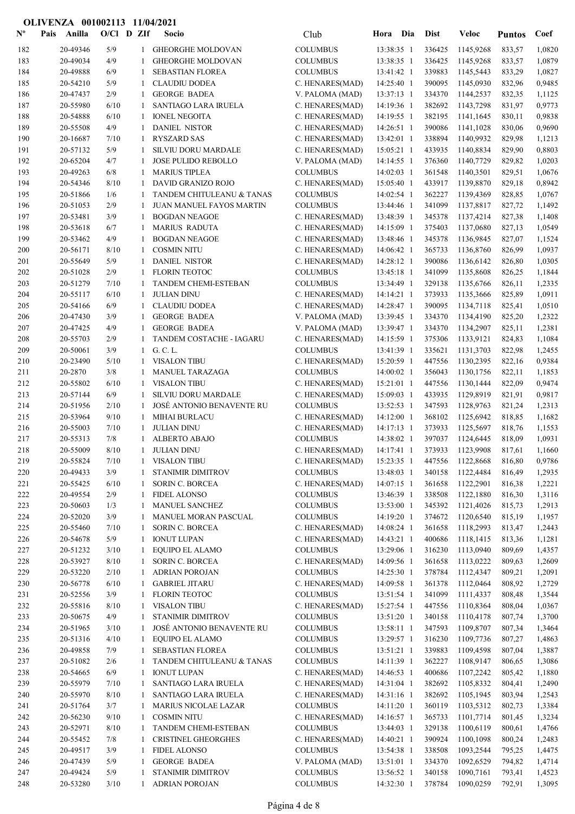| $\mathbf{N}^{\mathbf{o}}$ | Pais | Anilla               | $O/Cl$ D ZIf |              | Socio                                           | Club                               | Hora Dia                 | <b>Dist</b>      | <b>Veloc</b>                | <b>Puntos</b>    | Coef             |
|---------------------------|------|----------------------|--------------|--------------|-------------------------------------------------|------------------------------------|--------------------------|------------------|-----------------------------|------------------|------------------|
| 182                       |      | 20-49346             | 5/9          | 1            | <b>GHEORGHE MOLDOVAN</b>                        | <b>COLUMBUS</b>                    | 13:38:35 1               | 336425           | 1145,9268                   | 833,57           | 1,0820           |
| 183                       |      | 20-49034             | 4/9          | 1            | <b>GHEORGHE MOLDOVAN</b>                        | <b>COLUMBUS</b>                    | 13:38:35 1               | 336425           | 1145,9268                   | 833,57           | 1,0879           |
| 184                       |      | 20-49888             | 6/9          | 1            | SEBASTIAN FLOREA                                | <b>COLUMBUS</b>                    | 13:41:42 1               | 339883           | 1145,5443                   | 833,29           | 1,0827           |
| 185                       |      | 20-54210             | 5/9          | 1            | <b>CLAUDIU DODEA</b>                            | C. HENARES(MAD)                    | 14:25:40 1               | 390095           | 1145,0930                   | 832,96           | 0,9485           |
| 186                       |      | 20-47437             | 2/9          | 1            | <b>GEORGE BADEA</b>                             | V. PALOMA (MAD)                    | 13:37:13 1               | 334370           | 1144,2537                   | 832,35           | 1,1125           |
| 187                       |      | 20-55980             | 6/10         | 1            | <b>SANTIAGO LARA IRUELA</b>                     | C. HENARES(MAD)                    | 14:19:36 1               | 382692           | 1143,7298                   | 831,97           | 0,9773           |
| 188                       |      | 20-54888             | 6/10         | 1            | <b>IONEL NEGOITA</b>                            | C. HENARES(MAD)                    | 14:19:55 1               | 382195           | 1141,1645                   | 830,11           | 0,9838           |
| 189                       |      | 20-55508             | 4/9          | 1            | <b>DANIEL NISTOR</b>                            | C. HENARES(MAD)                    | 14:26:51 1               | 390086           | 1141,1028                   | 830,06           | 0,9690           |
| 190<br>191                |      | 20-16687<br>20-57132 | 7/10<br>5/9  | -1<br>-1     | <b>RYSZARD SAS</b><br>SILVIU DORU MARDALE       | C. HENARES(MAD)<br>C. HENARES(MAD) | 13:42:01 1<br>15:05:21 1 | 338894<br>433935 | 1140,9932<br>1140,8834      | 829,98<br>829,90 | 1,1213<br>0,8803 |
| 192                       |      | 20-65204             | 4/7          | 1            | JOSE PULIDO REBOLLO                             | V. PALOMA (MAD)                    | 14:14:55 1               | 376360           | 1140,7729                   | 829,82           | 1,0203           |
| 193                       |      | 20-49263             | 6/8          | 1            | <b>MARIUS TIPLEA</b>                            | <b>COLUMBUS</b>                    | 14:02:03 1               | 361548           | 1140,3501                   | 829,51           | 1,0676           |
| 194                       |      | 20-54346             | 8/10         | 1            | DAVID GRANIZO ROJO                              | C. HENARES(MAD)                    | 15:05:40 1               | 433917           | 1139,8870                   | 829,18           | 0,8942           |
| 195                       |      | 20-51866             | 1/6          | 1            | TANDEM CHITULEANU & TANAS                       | <b>COLUMBUS</b>                    | 14:02:54 1               | 362227           | 1139,4369                   | 828,85           | 1,0767           |
| 196                       |      | 20-51053             | 2/9          | 1            | JUAN MANUEL FAYOS MARTIN                        | <b>COLUMBUS</b>                    | 13:44:46 1               | 341099           | 1137,8817                   | 827,72           | 1,1492           |
| 197                       |      | 20-53481             | 3/9          | 1            | <b>BOGDAN NEAGOE</b>                            | C. HENARES(MAD)                    | 13:48:39 1               | 345378           | 1137,4214                   | 827,38           | 1,1408           |
| 198                       |      | 20-53618             | 6/7          | 1            | <b>MARIUS RADUTA</b>                            | C. HENARES(MAD)                    | 14:15:09 1               | 375403           | 1137,0680                   | 827,13           | 1,0549           |
| 199                       |      | 20-53462             | 4/9          | 1            | <b>BOGDAN NEAGOE</b>                            | C. HENARES(MAD)                    | 13:48:46 1               | 345378           | 1136,9845                   | 827,07           | 1,1524           |
| 200                       |      | 20-56171             | 8/10         | 1            | <b>COSMIN NITU</b>                              | C. HENARES(MAD)                    | 14:06:42 1               | 365733           | 1136,8760                   | 826,99           | 1,0937           |
| 201                       |      | 20-55649             | 5/9          | 1            | <b>DANIEL NISTOR</b>                            | C. HENARES(MAD)                    | 14:28:12 1               | 390086           | 1136,6142                   | 826,80           | 1,0305           |
| 202                       |      | 20-51028             | $2/9$        | 1            | FLORIN TEOTOC                                   | <b>COLUMBUS</b>                    | 13:45:18 1               | 341099           | 1135,8608                   | 826,25           | 1,1844           |
| 203                       |      | 20-51279             | 7/10         | -1           | TANDEM CHEMI-ESTEBAN                            | <b>COLUMBUS</b>                    | 13:34:49 1               | 329138           | 1135,6766                   | 826,11           | 1,2335           |
| 204                       |      | 20-55117             | 6/10         | -1           | <b>JULIAN DINU</b>                              | C. HENARES(MAD)                    | 14:14:21 1               | 373933           | 1135,3666                   | 825,89           | 1,0911           |
| 205                       |      | 20-54166             | 6/9          | 1            | <b>CLAUDIU DODEA</b>                            | C. HENARES(MAD)                    | 14:28:47 1               | 390095           | 1134,7118                   | 825,41           | 1,0510           |
| 206<br>207                |      | 20-47430<br>20-47425 | 3/9<br>4/9   | 1<br>1       | <b>GEORGE BADEA</b><br><b>GEORGE BADEA</b>      | V. PALOMA (MAD)<br>V. PALOMA (MAD) | 13:39:45 1<br>13:39:47 1 | 334370<br>334370 | 1134,4190<br>1134,2907      | 825,20<br>825,11 | 1,2322<br>1,2381 |
| 208                       |      | 20-55703             | 2/9          | 1            | TANDEM COSTACHE - IAGARU                        | C. HENARES(MAD)                    | 14:15:59 1               | 375306           | 1133,9121                   | 824,83           | 1,1084           |
| 209                       |      | 20-50061             | 3/9          | 1            | G. C. L.                                        | <b>COLUMBUS</b>                    | 13:41:39 1               | 335621           | 1131,3703                   | 822,98           | 1,2455           |
| 210                       |      | 20-23490             | 5/10         | -1           | <b>VISALON TIBU</b>                             | C. HENARES(MAD)                    | 15:20:59 1               | 447556           | 1130,2395                   | 822,16           | 0,9384           |
| 211                       |      | 20-2870              | 3/8          | 1            | MANUEL TARAZAGA                                 | <b>COLUMBUS</b>                    | 14:00:02 1               | 356043           | 1130,1756                   | 822,11           | 1,1853           |
| 212                       |      | 20-55802             | 6/10         | 1            | <b>VISALON TIBU</b>                             | C. HENARES(MAD)                    | 15:21:01 1               | 447556           | 1130,1444                   | 822,09           | 0,9474           |
| 213                       |      | 20-57144             | $6/9$        | 1            | SILVIU DORU MARDALE                             | C. HENARES(MAD)                    | 15:09:03 1               | 433935           | 1129,8919                   | 821,91           | 0,9817           |
| 214                       |      | 20-51956             | 2/10         | 1            | JOSÉ ANTONIO BENAVENTE RU                       | <b>COLUMBUS</b>                    | 13:52:53 1               | 347593           | 1128,9763                   | 821,24           | 1,2313           |
| 215                       |      | 20-53964             | 9/10         | -1           | <b>MIHAI BURLACU</b>                            | C. HENARES(MAD)                    | 14:12:00 1               | 368102           | 1125,6942                   | 818,85           | 1,1682           |
| 216                       |      | 20-55003             | 7/10         | -1           | <b>JULIAN DINU</b>                              | C. HENARES(MAD)                    | 14:17:13 1               | 373933           | 1125,5697                   | 818,76           | 1,1553           |
| 217                       |      | 20-55313             | 7/8          | 1            | ALBERTO ABAJO                                   | <b>COLUMBUS</b>                    | 14:38:02 1               | 397037           | 1124,6445                   | 818,09           | 1,0931           |
| 218                       |      | 20-55009             | 8/10         | $\mathbf{1}$ | <b>JULIAN DINU</b>                              | C. HENARES(MAD)                    | $14:17:41$ 1             | 373933           | 1123,9908                   | 817,61           | 1,1660           |
| 219                       |      | 20-55824             | $7/10$       |              | 1 VISALON TIBU                                  | C. HENARES(MAD)                    |                          |                  | 15:23:35 1 447556 1122,8668 | 816,80           | 0,9786           |
| 220                       |      | 20-49433             | 3/9          | 1            | <b>STANIMIR DIMITROV</b>                        | <b>COLUMBUS</b>                    | 13:48:03 1               | 340158<br>361658 | 1122,4484                   | 816,49           | 1,2935           |
| 221<br>222                |      | 20-55425<br>20-49554 | 6/10<br>2/9  | 1<br>-1      | SORIN C. BORCEA<br><b>FIDEL ALONSO</b>          | C. HENARES(MAD)<br><b>COLUMBUS</b> | 14:07:15 1<br>13:46:39 1 | 338508           | 1122,2901<br>1122,1880      | 816,38<br>816,30 | 1,2221<br>1,3116 |
| 223                       |      | 20-50603             | 1/3          |              | <b>MANUEL SANCHEZ</b>                           | <b>COLUMBUS</b>                    | 13:53:00 1               | 345392           | 1121,4026                   | 815,73           | 1,2913           |
| 224                       |      | 20-52020             | 3/9          | 1            | MANUEL MORAN PASCUAL                            | <b>COLUMBUS</b>                    | 14:19:20 1               | 374672           | 1120,6540                   | 815,19           | 1,1957           |
| 225                       |      | 20-55460             | 7/10         | -1           | <b>SORIN C. BORCEA</b>                          | C. HENARES(MAD)                    | 14:08:24 1               | 361658           | 1118,2993                   | 813,47           | 1,2443           |
| 226                       |      | 20-54678             | 5/9          | -1           | <b>IONUT LUPAN</b>                              | C. HENARES(MAD)                    | 14:43:21 1               | 400686           | 1118,1415                   | 813,36           | 1,1281           |
| 227                       |      | 20-51232             | 3/10         | -1           | EQUIPO EL ALAMO                                 | <b>COLUMBUS</b>                    | 13:29:06 1               | 316230           | 1113,0940                   | 809,69           | 1,4357           |
| 228                       |      | 20-53927             | 8/10         | 1            | SORIN C. BORCEA                                 | C. HENARES(MAD)                    | 14:09:56 1               | 361658           | 1113,0222                   | 809,63           | 1,2609           |
| 229                       |      | 20-53220             | 2/10         | 1            | <b>ADRIAN POROJAN</b>                           | <b>COLUMBUS</b>                    | 14:25:30 1               | 378784           | 1112,4347                   | 809,21           | 1,2091           |
| 230                       |      | 20-56778             | 6/10         | 1            | <b>GABRIEL JITARU</b>                           | C. HENARES(MAD)                    | 14:09:58 1               | 361378           | 1112,0464                   | 808,92           | 1,2729           |
| 231                       |      | 20-52556             | 3/9          | 1            | FLORIN TEOTOC                                   | <b>COLUMBUS</b>                    | 13:51:54 1               | 341099           | 1111,4337                   | 808,48           | 1,3544           |
| 232                       |      | 20-55816             | 8/10         | -1           | <b>VISALON TIBU</b>                             | C. HENARES(MAD)                    | 15:27:54 1               | 447556           | 1110,8364                   | 808,04           | 1,0367           |
| 233                       |      | 20-50675             | 4/9          | -1           | STANIMIR DIMITROV                               | <b>COLUMBUS</b>                    | 13:51:20 1               | 340158           | 1110,4178                   | 807,74           | 1,3700           |
| 234                       |      | 20-51965             | 3/10         | -1           | JOSÉ ANTONIO BENAVENTE RU                       | <b>COLUMBUS</b>                    | 13:58:11 1               | 347593           | 1109,8707                   | 807,34           | 1,3464           |
| 235                       |      | 20-51316             | 4/10         | -1           | <b>EQUIPO EL ALAMO</b>                          | <b>COLUMBUS</b>                    | 13:29:57 1               | 316230           | 1109,7736                   | 807,27           | 1,4863           |
| 236                       |      | 20-49858             | 7/9          | 1            | SEBASTIAN FLOREA                                | <b>COLUMBUS</b>                    | 13:51:21 1               | 339883<br>362227 | 1109,4598                   | 807,04           | 1,3887           |
| 237<br>238                |      | 20-51082<br>20-54665 | 2/6<br>6/9   | 1<br>-1      | TANDEM CHITULEANU & TANAS<br><b>IONUT LUPAN</b> | <b>COLUMBUS</b><br>C. HENARES(MAD) | 14:11:39 1<br>14:46:53 1 | 400686           | 1108,9147<br>1107,2242      | 806,65<br>805,42 | 1,3086<br>1,1880 |
| 239                       |      | 20-55979             | 7/10         | -1           | SANTIAGO LARA IRUELA                            | C. HENARES(MAD)                    | 14:31:04 1               | 382692           | 1105,8332                   | 804,41           | 1,2490           |
| 240                       |      | 20-55970             | 8/10         | 1            | SANTIAGO LARA IRUELA                            | C. HENARES(MAD)                    | 14:31:16 1               | 382692           | 1105,1945                   | 803,94           | 1,2543           |
| 241                       |      | 20-51764             | 3/7          | 1            | MARIUS NICOLAE LAZAR                            | <b>COLUMBUS</b>                    | 14:11:20 1               | 360119           | 1103,5312                   | 802,73           | 1,3384           |
| 242                       |      | 20-56230             | 9/10         | $\mathbf{1}$ | <b>COSMIN NITU</b>                              | C. HENARES(MAD)                    | $14:16:57$ 1             | 365733           | 1101,7714                   | 801,45           | 1,3234           |
| 243                       |      | 20-52971             | 8/10         | -1           | TANDEM CHEMI-ESTEBAN                            | <b>COLUMBUS</b>                    | 13:44:03 1               | 329138           | 1100,6119                   | 800,61           | 1,4766           |
| 244                       |      | 20-55452             | 7/8          | 1            | CRISTINEL GHEORGHES                             | C. HENARES(MAD)                    | 14:40:21 1               | 390924           | 1100,1098                   | 800,24           | 1,2483           |
| 245                       |      | 20-49517             | 3/9          | -1           | <b>FIDEL ALONSO</b>                             | <b>COLUMBUS</b>                    | 13:54:38 1               | 338508           | 1093,2544                   | 795,25           | 1,4475           |
| 246                       |      | 20-47439             | 5/9          | -1           | <b>GEORGE BADEA</b>                             | V. PALOMA (MAD)                    | 13:51:01 1               | 334370           | 1092,6529                   | 794,82           | 1,4714           |
| 247                       |      | 20-49424             | 5/9          | 1            | STANIMIR DIMITROV                               | <b>COLUMBUS</b>                    | 13:56:52 1               | 340158           | 1090,7161                   | 793,41           | 1,4523           |
| 248                       |      | 20-53280             | 3/10         | $\mathbf{1}$ | <b>ADRIAN POROJAN</b>                           | <b>COLUMBUS</b>                    | 14:32:30 1               | 378784           | 1090,0259                   | 792,91           | 1,3095           |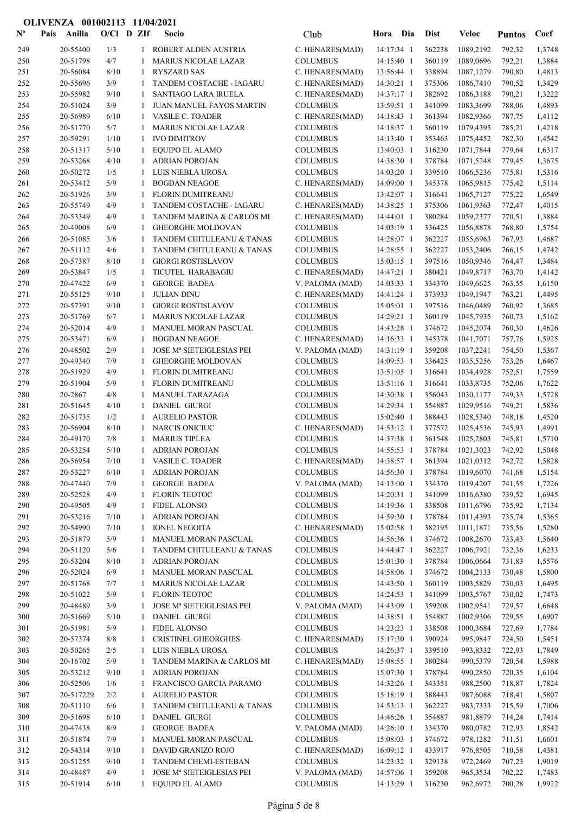| $\mathbf{N}^{\mathbf{o}}$ | Anilla<br>Pais       | $O/Cl$ D ZIf |              | Socio                                                    | Club                               | Hora                       | Dia | <b>Dist</b>      | <b>Veloc</b>                | <b>Puntos</b>    | Coef             |
|---------------------------|----------------------|--------------|--------------|----------------------------------------------------------|------------------------------------|----------------------------|-----|------------------|-----------------------------|------------------|------------------|
| 249                       | 20-55400             | 1/3          | 1            | ROBERT ALDEN AUSTRIA                                     | C. HENARES(MAD)                    | 14:17:34 1                 |     | 362238           | 1089,2192                   | 792,32           | 1,3748           |
| 250                       | 20-51798             | 4/7          | 1            | <b>MARIUS NICOLAE LAZAR</b>                              | <b>COLUMBUS</b>                    | 14:15:40 1                 |     | 360119           | 1089,0696                   | 792,21           | 1,3884           |
| 251                       | 20-56084             | 8/10         | -1           | <b>RYSZARD SAS</b>                                       | C. HENARES(MAD)                    | 13:56:44 1                 |     | 338894           | 1087,1279                   | 790,80           | 1,4813           |
| 252                       | 20-55696             | 3/9          | -1           | TANDEM COSTACHE - IAGARU                                 | C. HENARES(MAD)                    | 14:30:21 1                 |     | 375306           | 1086,7410                   | 790,52           | 1,3429           |
| 253                       | 20-55982             | 9/10         | -1           | SANTIAGO LARA IRUELA                                     | C. HENARES(MAD)                    | 14:37:17 1                 |     | 382692           | 1086,3188                   | 790,21           | 1,3222           |
| 254                       | 20-51024             | 3/9          | 1            | JUAN MANUEL FAYOS MARTIN                                 | <b>COLUMBUS</b>                    | 13:59:51 1                 |     | 341099           | 1083,3699                   | 788,06           | 1,4893           |
| 255                       | 20-56989             | 6/10         | 1            | <b>VASILE C. TOADER</b>                                  | C. HENARES(MAD)                    | 14:18:43 1                 |     | 361394           | 1082,9366                   | 787,75           | 1,4112           |
| 256                       | 20-51770             | 5/7          | 1            | <b>MARIUS NICOLAE LAZAR</b>                              | <b>COLUMBUS</b>                    | 14:18:37 1                 |     | 360119<br>353463 | 1079,4395                   | 785,21           | 1,4218           |
| 257<br>258                | 20-59291<br>20-51317 | 1/10<br>5/10 | 1<br>-1      | <b>IVO DIMITROV</b><br>EQUIPO EL ALAMO                   | <b>COLUMBUS</b><br><b>COLUMBUS</b> | 14:13:40 1<br>13:40:03 1   |     | 316230           | 1075,4452<br>1071,7844      | 782,30<br>779,64 | 1,4542<br>1,6317 |
| 259                       | 20-53268             | 4/10         | 1            | <b>ADRIAN POROJAN</b>                                    | <b>COLUMBUS</b>                    | 14:38:30 1                 |     | 378784           | 1071,5248                   | 779,45           | 1,3675           |
| 260                       | 20-50272             | 1/5          | 1            | LUIS NIEBLA UROSA                                        | <b>COLUMBUS</b>                    | 14:03:20 1                 |     | 339510           | 1066,5236                   | 775,81           | 1,5316           |
| 261                       | 20-53412             | 5/9          | 1            | <b>BOGDAN NEAGOE</b>                                     | C. HENARES(MAD)                    | 14:09:00 1                 |     | 345378           | 1065,9815                   | 775,42           | 1,5114           |
| 262                       | 20-51926             | 3/9          | 1            | FLORIN DUMITREANU                                        | <b>COLUMBUS</b>                    | 13:42:07 1                 |     | 316641           | 1065,7127                   | 775,22           | 1,6549           |
| 263                       | 20-55749             | 4/9          | 1            | TANDEM COSTACHE - IAGARU                                 | C. HENARES(MAD)                    | 14:38:25 1                 |     | 375306           | 1061,9363                   | 772,47           | 1,4015           |
| 264                       | 20-53349             | 4/9          | 1            | TANDEM MARINA & CARLOS MI                                | C. HENARES(MAD)                    | 14:44:01 1                 |     | 380284           | 1059,2377                   | 770,51           | 1,3884           |
| 265                       | 20-49008             | 6/9          | -1           | <b>GHEORGHE MOLDOVAN</b>                                 | <b>COLUMBUS</b>                    | 14:03:19 1                 |     | 336425           | 1056,8878                   | 768,80           | 1,5754           |
| 266                       | 20-51085             | 3/6          | -1           | TANDEM CHITULEANU & TANAS                                | <b>COLUMBUS</b>                    | 14:28:07 1                 |     | 362227           | 1055,6963                   | 767,93           | 1,4687           |
| 267                       | 20-51112             | 4/6          | 1            | TANDEM CHITULEANU & TANAS                                | <b>COLUMBUS</b>                    | 14:28:55 1                 |     | 362227           | 1053,2406                   | 766,15           | 1,4742           |
| 268                       | 20-57387             | 8/10         | 1            | <b>GIORGI ROSTISLAVOV</b>                                | <b>COLUMBUS</b>                    | 15:03:15 1                 |     | 397516           | 1050,9346                   | 764,47           | 1,3484           |
| 269                       | 20-53847             | 1/5          | 1            | TICUTEL HARABAGIU                                        | C. HENARES(MAD)                    | 14:47:21 1                 |     | 380421           | 1049,8717                   | 763,70           | 1,4142           |
| 270                       | 20-47422             | 6/9          | -1           | <b>GEORGE BADEA</b>                                      | V. PALOMA (MAD)                    | 14:03:33 1                 |     | 334370           | 1049,6625                   | 763,55           | 1,6150           |
| 271                       | 20-55125             | 9/10         | -1           | <b>JULIAN DINU</b>                                       | C. HENARES(MAD)                    | 14:41:24 1                 |     | 373933           | 1049,1947                   | 763,21           | 1,4495           |
| 272<br>273                | 20-57391<br>20-51769 | 9/10<br>6/7  | -1<br>1      | <b>GIORGI ROSTISLAVOV</b><br><b>MARIUS NICOLAE LAZAR</b> | <b>COLUMBUS</b><br><b>COLUMBUS</b> | $15:05:01$ 1<br>14:29:21 1 |     | 397516<br>360119 | 1046,0489<br>1045,7935      | 760,92<br>760,73 | 1,3685<br>1,5162 |
| 274                       | 20-52014             | 4/9          | 1            | MANUEL MORAN PASCUAL                                     | <b>COLUMBUS</b>                    | 14:43:28 1                 |     | 374672           | 1045,2074                   | 760,30           | 1,4626           |
| 275                       | 20-53471             | 6/9          | 1            | <b>BOGDAN NEAGOE</b>                                     | C. HENARES(MAD)                    | 14:16:33 1                 |     | 345378           | 1041,7071                   | 757,76           | 1,5925           |
| 276                       | 20-48502             | 2/9          | -1           | JOSE Mª SIETEIGLESIAS PEI                                | V. PALOMA (MAD)                    | 14:31:19 1                 |     | 359208           | 1037,2241                   | 754,50           | 1,5367           |
| 277                       | 20-49340             | 7/9          | 1            | <b>GHEORGHE MOLDOVAN</b>                                 | <b>COLUMBUS</b>                    | 14:09:53 1                 |     | 336425           | 1035,5256                   | 753,26           | 1,6467           |
| 278                       | 20-51929             | 4/9          | -1           | FLORIN DUMITREANU                                        | <b>COLUMBUS</b>                    | 13:51:05 1                 |     | 316641           | 1034,4928                   | 752,51           | 1,7559           |
| 279                       | 20-51904             | 5/9          | 1            | FLORIN DUMITREANU                                        | <b>COLUMBUS</b>                    | 13:51:16 1                 |     | 316641           | 1033,8735                   | 752,06           | 1,7622           |
| 280                       | 20-2867              | 4/8          | 1            | <b>MANUEL TARAZAGA</b>                                   | <b>COLUMBUS</b>                    | 14:30:38 1                 |     | 356043           | 1030,1177                   | 749,33           | 1,5728           |
| 281                       | 20-51645             | 4/10         | 1            | <b>DANIEL GIURGI</b>                                     | <b>COLUMBUS</b>                    | 14:29:34 1                 |     | 354887           | 1029,9516                   | 749,21           | 1,5836           |
| 282                       | 20-51735             | 1/2          | 1            | <b>AURELIO PASTOR</b>                                    | <b>COLUMBUS</b>                    | 15:02:40 1                 |     | 388443           | 1028,5340                   | 748,18           | 1,4520           |
| 283                       | 20-56904             | 8/10         | 1            | <b>NARCIS ONICIUC</b>                                    | C. HENARES(MAD)                    | 14:53:12 1                 |     | 377572           | 1025,4536                   | 745,93           | 1,4991           |
| 284                       | 20-49170             | 7/8          | -1           | <b>MARIUS TIPLEA</b>                                     | <b>COLUMBUS</b>                    | 14:37:38 1                 |     | 361548           | 1025,2803                   | 745,81           | 1,5710           |
| 285                       | 20-53254             | 5/10         | $\mathbf{1}$ | <b>ADRIAN POROJAN</b>                                    | <b>COLUMBUS</b>                    | 14:55:53 1                 |     | 378784           | 1021,3023                   | 742,92           | 1,5048           |
| 286                       | 20-56954             | $7/10$       |              | 1 VASILE C. TOADER                                       | C. HENARES(MAD)                    |                            |     |                  | 14:38:57 1 361394 1021,0312 | 742,72           | 1,5828           |
| 287<br>288                | 20-53227<br>20-47440 | 6/10<br>7/9  | 1<br>1       | <b>ADRIAN POROJAN</b><br><b>GEORGE BADEA</b>             | <b>COLUMBUS</b>                    | 14:56:30 1<br>14:13:00 1   |     | 378784<br>334370 | 1019,6070<br>1019,4207      | 741,68           | 1,5154           |
| 289                       | 20-52528             | 4/9          | 1            | <b>FLORIN TEOTOC</b>                                     | V. PALOMA (MAD)<br><b>COLUMBUS</b> | 14:20:31 1                 |     | 341099           | 1016,6380                   | 741,55<br>739,52 | 1,7226<br>1,6945 |
| 290                       | 20-49505             | 4/9          | -1           | <b>FIDEL ALONSO</b>                                      | <b>COLUMBUS</b>                    | 14:19:36 1                 |     | 338508           | 1011,6796                   | 735,92           | 1,7134           |
| 291                       | 20-53216             | 7/10         | 1            | <b>ADRIAN POROJAN</b>                                    | <b>COLUMBUS</b>                    | 14:59:30 1                 |     | 378784           | 1011,4393                   | 735,74           | 1,5365           |
| 292                       | 20-54990             | 7/10         | 1            | <b>IONEL NEGOITA</b>                                     | C. HENARES(MAD)                    | 15:02:58 1                 |     | 382195           | 1011,1871                   | 735,56           | 1,5280           |
| 293                       | 20-51879             | 5/9          | 1            | MANUEL MORAN PASCUAL                                     | <b>COLUMBUS</b>                    | 14:56:36 1                 |     | 374672           | 1008,2670                   | 733,43           | 1,5640           |
| 294                       | 20-51120             | 5/6          | -1           | TANDEM CHITULEANU & TANAS                                | <b>COLUMBUS</b>                    | 14:44:47 1                 |     | 362227           | 1006,7921                   | 732,36           | 1,6233           |
| 295                       | 20-53204             | 8/10         | 1            | <b>ADRIAN POROJAN</b>                                    | <b>COLUMBUS</b>                    | 15:01:30 1                 |     | 378784           | 1006,0664                   | 731,83           | 1,5576           |
| 296                       | 20-52024             | 6/9          | -1           | MANUEL MORAN PASCUAL                                     | <b>COLUMBUS</b>                    | 14:58:06 1                 |     | 374672           | 1004,2133                   | 730,48           | 1,5800           |
| 297                       | 20-51768             | 7/7          | 1            | <b>MARIUS NICOLAE LAZAR</b>                              | <b>COLUMBUS</b>                    | 14:43:50 1                 |     | 360119           | 1003,5829                   | 730,03           | 1,6495           |
| 298                       | 20-51022             | 5/9          | 1            | <b>FLORIN TEOTOC</b>                                     | <b>COLUMBUS</b>                    | 14:24:53 1                 |     | 341099           | 1003,5767                   | 730,02           | 1,7473           |
| 299                       | 20-48489             | 3/9          | 1            | <b>JOSE Mª SIETEIGLESIAS PEI</b>                         | V. PALOMA (MAD)                    | 14:43:09 1                 |     | 359208           | 1002,9541                   | 729,57           | 1,6648           |
| 300                       | 20-51669             | 5/10         | 1            | <b>DANIEL GIURGI</b>                                     | <b>COLUMBUS</b>                    | 14:38:51 1                 |     | 354887           | 1002,9306                   | 729,55           | 1,6907           |
| 301                       | 20-51981             | 5/9          | 1            | <b>FIDEL ALONSO</b>                                      | <b>COLUMBUS</b>                    | 14:23:23 1                 |     | 338508           | 1000,3684                   | 727,69           | 1,7784           |
| 302                       | 20-57374             | 8/8          | 1            | <b>CRISTINEL GHEORGHES</b>                               | C. HENARES(MAD)                    | 15:17:30 1                 |     | 390924           | 995,9847                    | 724,50           | 1,5451           |
| 303<br>304                | 20-50265<br>20-16702 | 2/5<br>5/9   | 1<br>1       | LUIS NIEBLA UROSA<br>TANDEM MARINA & CARLOS MI           | <b>COLUMBUS</b><br>C. HENARES(MAD) | 14:26:37 1<br>15:08:55 1   |     | 339510<br>380284 | 993,8332<br>990,5379        | 722,93<br>720,54 | 1,7849<br>1,5988 |
| 305                       | 20-53212             | 9/10         | 1            | <b>ADRIAN POROJAN</b>                                    | <b>COLUMBUS</b>                    | 15:07:30 1                 |     | 378784           | 990,2850                    | 720,35           | 1,6104           |
| 306                       | 20-52506             | 1/6          | 1            | FRANCISCO GARCIA PARAMO                                  | <b>COLUMBUS</b>                    | 14:32:26 1                 |     | 343351           | 988,2500                    | 718,87           | 1,7824           |
| 307                       | 20-517229            | 2/2          | 1            | <b>AURELIO PASTOR</b>                                    | <b>COLUMBUS</b>                    | 15:18:19 1                 |     | 388443           | 987,6088                    | 718,41           | 1,5807           |
| 308                       | 20-51110             | 6/6          | 1            | TANDEM CHITULEANU & TANAS                                | <b>COLUMBUS</b>                    | 14:53:13 1                 |     | 362227           | 983,7333                    | 715,59           | 1,7006           |
| 309                       | 20-51698             | 6/10         | -1           | <b>DANIEL GIURGI</b>                                     | <b>COLUMBUS</b>                    | 14:46:26 1                 |     | 354887           | 981,8879                    | 714,24           | 1,7414           |
| 310                       | 20-47438             | 8/9          | 1            | <b>GEORGE BADEA</b>                                      | V. PALOMA (MAD)                    | 14:26:10 1                 |     | 334370           | 980,0782                    | 712,93           | 1,8542           |
| 311                       | 20-51874             | 7/9          | 1            | MANUEL MORAN PASCUAL                                     | <b>COLUMBUS</b>                    | 15:08:03 1                 |     | 374672           | 978,1282                    | 711,51           | 1,6601           |
| 312                       | 20-54314             | 9/10         | -1           | DAVID GRANIZO ROJO                                       | C. HENARES(MAD)                    | 16:09:12 1                 |     | 433917           | 976,8505                    | 710,58           | 1,4381           |
| 313                       | 20-51255             | 9/10         | -1           | TANDEM CHEMI-ESTEBAN                                     | <b>COLUMBUS</b>                    | 14:23:32 1                 |     | 329138           | 972,2469                    | 707,23           | 1,9019           |
| 314                       | 20-48487             | 4/9          | 1            | JOSE Mª SIETEIGLESIAS PEI                                | V. PALOMA (MAD)                    | 14:57:06 1                 |     | 359208           | 965,3534                    | 702,22           | 1,7483           |
| 315                       | 20-51914             | 6/10         | -1           | EQUIPO EL ALAMO                                          | <b>COLUMBUS</b>                    | 14:13:29 1                 |     | 316230           | 962,6972                    | 700,28           | 1,9922           |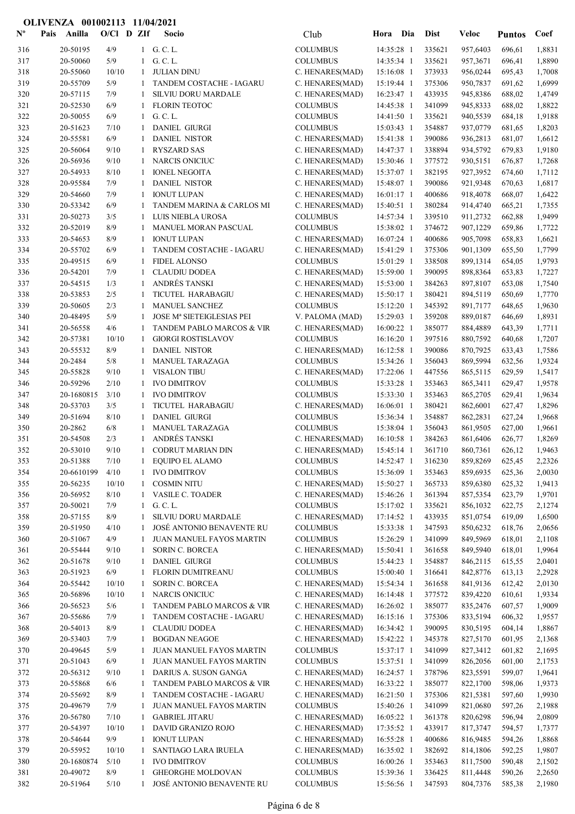| $\mathbf{N}^{\mathbf{o}}$ | Pais | Anilla               | $O/CI$ D ZIf |                   | Socio                                            | Club                               | Hora Dia                 |            | <b>Dist</b>      | <b>Veloc</b>         | <b>Puntos</b>    | Coef             |
|---------------------------|------|----------------------|--------------|-------------------|--------------------------------------------------|------------------------------------|--------------------------|------------|------------------|----------------------|------------------|------------------|
| 316                       |      | 20-50195             | 4/9          |                   | 1 G.C.L.                                         | <b>COLUMBUS</b>                    | 14:35:28 1               |            | 335621           | 957,6403             | 696,61           | 1,8831           |
| 317                       |      | 20-50060             | 5/9          | 1                 | G. C. L.                                         | <b>COLUMBUS</b>                    | 14:35:34 1               |            | 335621           | 957,3671             | 696,41           | 1,8890           |
| 318                       |      | 20-55060             | 10/10        | 1                 | <b>JULIAN DINU</b>                               | C. HENARES(MAD)                    | 15:16:08 1               |            | 373933           | 956,0244             | 695,43           | 1,7008           |
| 319                       |      | 20-55709             | 5/9          | 1                 | TANDEM COSTACHE - IAGARU                         | C. HENARES(MAD)                    | 15:19:44 1               |            | 375306           | 950,7837             | 691,62           | 1,6999           |
| 320                       |      | 20-57115             | 7/9          |                   | SILVIU DORU MARDALE                              | C. HENARES(MAD)                    | 16:23:47 1               |            | 433935           | 945,8386             | 688,02           | 1,4749           |
| 321<br>322                |      | 20-52530<br>20-50055 | 6/9<br>6/9   | 1<br>1            | <b>FLORIN TEOTOC</b><br>G. C. L.                 | <b>COLUMBUS</b><br><b>COLUMBUS</b> | 14:45:38 1<br>14:41:50 1 |            | 341099<br>335621 | 945,8333<br>940,5539 | 688,02<br>684,18 | 1,8822<br>1,9188 |
| 323                       |      | 20-51623             | 7/10         |                   | <b>DANIEL GIURGI</b>                             | <b>COLUMBUS</b>                    | 15:03:43 1               |            | 354887           | 937,0779             | 681,65           | 1,8203           |
| 324                       |      | 20-55581             | 6/9          |                   | DANIEL NISTOR                                    | C. HENARES(MAD)                    | 15:41:38 1               |            | 390086           | 936,2813             | 681,07           | 1,6612           |
| 325                       |      | 20-56064             | 9/10         | 1                 | <b>RYSZARD SAS</b>                               | C. HENARES(MAD)                    | 14:47:37 1               |            | 338894           | 934,5792             | 679,83           | 1,9180           |
| 326                       |      | 20-56936             | 9/10         | 1                 | NARCIS ONICIUC                                   | C. HENARES(MAD)                    | 15:30:46 1               |            | 377572           | 930,5151             | 676,87           | 1,7268           |
| 327                       |      | 20-54933             | 8/10         | 1                 | <b>IONEL NEGOITA</b>                             | C. HENARES(MAD)                    | 15:37:07 1               |            | 382195           | 927,3952             | 674,60           | 1,7112           |
| 328                       |      | 20-95584             | 7/9          | 1                 | <b>DANIEL NISTOR</b>                             | C. HENARES(MAD)                    | 15:48:07 1               |            | 390086           | 921,9348             | 670,63           | 1,6817           |
| 329                       |      | 20-54660             | 7/9          | 1                 | <b>IONUT LUPAN</b>                               | C. HENARES(MAD)                    | $16:01:17$ 1             |            | 400686           | 918,4078             | 668,07           | 1,6422           |
| 330                       |      | 20-53342             | 6/9          | 1                 | TANDEM MARINA & CARLOS MI                        | C. HENARES(MAD)                    | 15:40:51 1               |            | 380284           | 914,4740             | 665,21           | 1,7355           |
| 331                       |      | 20-50273             | 3/5          | 1                 | LUIS NIEBLA UROSA                                | <b>COLUMBUS</b>                    | 14:57:34 1               |            | 339510           | 911,2732             | 662,88           | 1,9499           |
| 332                       |      | 20-52019             | 8/9          |                   | MANUEL MORAN PASCUAL                             | <b>COLUMBUS</b>                    | 15:38:02 1               |            | 374672           | 907,1229             | 659,86           | 1,7722           |
| 333                       |      | 20-54653             | 8/9          | 1                 | <b>IONUT LUPAN</b>                               | C. HENARES(MAD)                    | 16:07:24 1               |            | 400686           | 905,7098             | 658,83           | 1,6621           |
| 334                       |      | 20-55702             | 6/9          |                   | TANDEM COSTACHE - IAGARU                         | C. HENARES(MAD)                    | 15:41:29 1               |            | 375306           | 901,1309             | 655,50           | 1,7799           |
| 335                       |      | 20-49515             | 6/9          |                   | <b>FIDEL ALONSO</b>                              | <b>COLUMBUS</b>                    | 15:01:29 1               |            | 338508           | 899,1314             | 654,05           | 1,9793           |
| 336                       |      | 20-54201             | 7/9          |                   | <b>CLAUDIU DODEA</b><br>ANDRÉS TANSKI            | C. HENARES(MAD)                    | 15:59:00 1               |            | 390095           | 898,8364             | 653,83           | 1,7227           |
| 337<br>338                |      | 20-54515<br>20-53853 | 1/3<br>2/5   | 1<br>1            | TICUTEL HARABAGIU                                | C. HENARES(MAD)<br>C. HENARES(MAD) | 15:53:00 1<br>15:50:17 1 |            | 384263<br>380421 | 897,8107<br>894,5119 | 653,08<br>650,69 | 1,7540<br>1,7770 |
| 339                       |      | 20-50605             | $2/3$        | 1                 | MANUEL SANCHEZ                                   | <b>COLUMBUS</b>                    | 15:12:20 1               |            | 345392           | 891,7177             | 648,65           | 1,9630           |
| 340                       |      | 20-48495             | 5/9          | 1                 | JOSE Mª SIETEIGLESIAS PEI                        | V. PALOMA (MAD)                    | 15:29:03 1               |            | 359208           | 889,0187             | 646,69           | 1,8931           |
| 341                       |      | 20-56558             | 4/6          | 1                 | TANDEM PABLO MARCOS & VIR                        | C. HENARES(MAD)                    | 16:00:22 1               |            | 385077           | 884,4889             | 643,39           | 1,7711           |
| 342                       |      | 20-57381             | 10/10        | 1                 | <b>GIORGI ROSTISLAVOV</b>                        | <b>COLUMBUS</b>                    | 16:16:20 1               |            | 397516           | 880,7592             | 640,68           | 1,7207           |
| 343                       |      | 20-55532             | 8/9          | 1                 | <b>DANIEL NISTOR</b>                             | C. HENARES(MAD)                    | 16:12:58 1               |            | 390086           | 870,7925             | 633,43           | 1,7586           |
| 344                       |      | 20-2484              | 5/8          |                   | MANUEL TARAZAGA                                  | <b>COLUMBUS</b>                    | 15:34:26 1               |            | 356043           | 869,5994             | 632,56           | 1,9324           |
| 345                       |      | 20-55828             | 9/10         |                   | <b>VISALON TIBU</b>                              | C. HENARES(MAD)                    | 17:22:06 1               |            | 447556           | 865,5115             | 629,59           | 1,5417           |
| 346                       |      | 20-59296             | 2/10         |                   | <b>IVO DIMITROV</b>                              | <b>COLUMBUS</b>                    | 15:33:28 1               |            | 353463           | 865,3411             | 629,47           | 1,9578           |
| 347                       |      | 20-1680815           | 3/10         |                   | <b>IVO DIMITROV</b>                              | <b>COLUMBUS</b>                    | 15:33:30 1               |            | 353463           | 865,2705             | 629,41           | 1,9634           |
| 348                       |      | 20-53703             | 3/5          |                   | TICUTEL HARABAGIU                                | C. HENARES(MAD)                    | 16:06:01 1               |            | 380421           | 862,6001             | 627,47           | 1,8296           |
| 349                       |      | 20-51694             | 8/10         | 1                 | <b>DANIEL GIURGI</b>                             | <b>COLUMBUS</b>                    | 15:36:34 1               |            | 354887           | 862,2831             | 627,24           | 1,9668           |
| 350                       |      | 20-2862              | 6/8          | 1                 | MANUEL TARAZAGA                                  | <b>COLUMBUS</b>                    | 15:38:04 1               |            | 356043           | 861,9505             | 627,00           | 1,9661           |
| 351                       |      | 20-54508             | 2/3          | $\mathbf{1}$      | ANDRÉS TANSKI                                    | C. HENARES(MAD)                    | 16:10:58 1               |            | 384263           | 861,6406             | 626,77           | 1,8269           |
| 352<br>353                |      | 20-53010<br>20-51388 | 9/10<br>7/10 | 1<br>$\mathbf{1}$ | <b>CODRUT MARIAN DIN</b><br>EQUIPO EL ALAMO      | C. HENARES(MAD)<br>COLUMBUS        | 15:45:14 1               | 14:52:47 1 | 361710<br>316230 | 860,7361<br>859,8269 | 626,12<br>625,45 | 1,9463<br>2,2326 |
| 354                       |      | 20-6610199           | 4/10         | $\mathbf{1}$      | <b>IVO DIMITROV</b>                              | <b>COLUMBUS</b>                    | 15:36:09 1               |            | 353463           | 859,6935             | 625,36           | 2,0030           |
| 355                       |      | 20-56235             | 10/10        | 1                 | <b>COSMIN NITU</b>                               | C. HENARES(MAD)                    | 15:50:27 1               |            | 365733           | 859,6380             | 625,32           | 1,9413           |
| 356                       |      | 20-56952             | 8/10         |                   | 1 VASILE C. TOADER                               | C. HENARES(MAD)                    | 15:46:26 1               |            | 361394           | 857,5354             | 623,79           | 1,9701           |
| 357                       |      | 20-50021             | 7/9          |                   | 1 G.C.L.                                         | <b>COLUMBUS</b>                    | 15:17:02 1               |            | 335621           | 856,1032             | 622,75           | 2,1274           |
| 358                       |      | 20-57155             | 8/9          | $\mathbf{1}$      | SILVIU DORU MARDALE                              | C. HENARES(MAD)                    | 17:14:52 1               |            | 433935           | 851,0754             | 619,09           | 1,6500           |
| 359                       |      | 20-51950             | 4/10         |                   | JOSÉ ANTONIO BENAVENTE RU                        | <b>COLUMBUS</b>                    | 15:33:38 1               |            | 347593           | 850,6232             | 618,76           | 2,0656           |
| 360                       |      | 20-51067             | 4/9          |                   | <b>JUAN MANUEL FAYOS MARTIN</b>                  | <b>COLUMBUS</b>                    | 15:26:29 1               |            | 341099           | 849,5969             | 618,01           | 2,1108           |
| 361                       |      | 20-55444             | 9/10         | 1                 | <b>SORIN C. BORCEA</b>                           | C. HENARES(MAD)                    | 15:50:41 1               |            | 361658           | 849,5940             | 618,01           | 1,9964           |
| 362                       |      | 20-51678             | 9/10         | 1                 | <b>DANIEL GIURGI</b>                             | <b>COLUMBUS</b>                    | 15:44:23 1               |            | 354887           | 846,2115             | 615,55           | 2,0401           |
| 363                       |      | 20-51923             | 6/9          |                   | <b>FLORIN DUMITREANU</b>                         | <b>COLUMBUS</b>                    | 15:00:40 1               |            | 316641           | 842,8776             | 613,13           | 2,2928           |
| 364                       |      | 20-55442             | 10/10        | 1                 | <b>SORIN C. BORCEA</b>                           | C. HENARES(MAD)                    | 15:54:34 1               |            | 361658           | 841,9136             | 612,42           | 2,0130           |
| 365                       |      | 20-56896             | 10/10        | 1                 | NARCIS ONICIUC                                   | C. HENARES(MAD)                    | 16:14:48 1               |            | 377572           | 839,4220             | 610,61           | 1,9334           |
| 366                       |      | 20-56523             | 5/6          | -1                | TANDEM PABLO MARCOS & VIR                        | C. HENARES(MAD)                    | 16:26:02 1               |            | 385077           | 835,2476             | 607,57           | 1,9009           |
| 367                       |      | 20-55686<br>20-54013 | 7/9<br>8/9   | 1                 | TANDEM COSTACHE - IAGARU<br><b>CLAUDIU DODEA</b> | C. HENARES(MAD)<br>C. HENARES(MAD) | 16:15:16 1<br>16:34:42 1 |            | 375306<br>390095 | 833,5194<br>830,5195 | 606,32           | 1,9557           |
| 368<br>369                |      | 20-53403             | 7/9          | 1                 | <b>BOGDAN NEAGOE</b>                             | C. HENARES(MAD)                    | 15:42:22 1               |            | 345378           | 827,5170             | 604,14<br>601,95 | 1,8867<br>2,1368 |
| 370                       |      | 20-49645             | 5/9          |                   | JUAN MANUEL FAYOS MARTIN                         | <b>COLUMBUS</b>                    | 15:37:17 1               |            | 341099           | 827,3412             | 601,82           | 2,1695           |
| 371                       |      | 20-51043             | 6/9          |                   | <b>JUAN MANUEL FAYOS MARTIN</b>                  | <b>COLUMBUS</b>                    | 15:37:51 1               |            | 341099           | 826,2056             | 601,00           | 2,1753           |
| 372                       |      | 20-56312             | 9/10         | 1                 | DARIUS A. SUSON GANGA                            | C. HENARES(MAD)                    | 16:24:57 1               |            | 378796           | 823,5591             | 599,07           | 1,9641           |
| 373                       |      | 20-55868             | 6/6          | 1                 | TANDEM PABLO MARCOS & VIR                        | C. HENARES(MAD)                    | 16:33:22 1               |            | 385077           | 822,1700             | 598,06           | 1,9373           |
| 374                       |      | 20-55692             | 8/9          | 1                 | TANDEM COSTACHE - IAGARU                         | C. HENARES(MAD)                    | $16:21:50$ 1             |            | 375306           | 821,5381             | 597,60           | 1,9930           |
| 375                       |      | 20-49679             | 7/9          | 1                 | JUAN MANUEL FAYOS MARTIN                         | <b>COLUMBUS</b>                    | 15:40:26 1               |            | 341099           | 821,0680             | 597,26           | 2,1988           |
| 376                       |      | 20-56780             | 7/10         | 1                 | <b>GABRIEL JITARU</b>                            | C. HENARES(MAD)                    | 16:05:22 1               |            | 361378           | 820,6298             | 596,94           | 2,0809           |
| 377                       |      | 20-54397             | 10/10        | 1                 | DAVID GRANIZO ROJO                               | C. HENARES(MAD)                    | 17:35:52 1               |            | 433917           | 817,3747             | 594,57           | 1,7377           |
| 378                       |      | 20-54644             | 9/9          | 1                 | <b>IONUT LUPAN</b>                               | C. HENARES(MAD)                    | 16:55:28 1               |            | 400686           | 816,9485             | 594,26           | 1,8868           |
| 379                       |      | 20-55952             | 10/10        | 1                 | <b>SANTIAGO LARA IRUELA</b>                      | C. HENARES(MAD)                    | 16:35:02 1               |            | 382692           | 814,1806             | 592,25           | 1,9807           |
| 380                       |      | 20-1680874           | 5/10         | 1                 | <b>IVO DIMITROV</b>                              | <b>COLUMBUS</b>                    | 16:00:26 1               |            | 353463           | 811,7500             | 590,48           | 2,1502           |
| 381                       |      | 20-49072             | 8/9          |                   | <b>GHEORGHE MOLDOVAN</b>                         | <b>COLUMBUS</b>                    | 15:39:36 1               |            | 336425           | 811,4448             | 590,26           | 2,2650           |
| 382                       |      | 20-51964             | 5/10         |                   | 1 JOSÉ ANTONIO BENAVENTE RU                      | <b>COLUMBUS</b>                    | 15:56:56 1               |            | 347593           | 804,7376             | 585,38           | 2,1980           |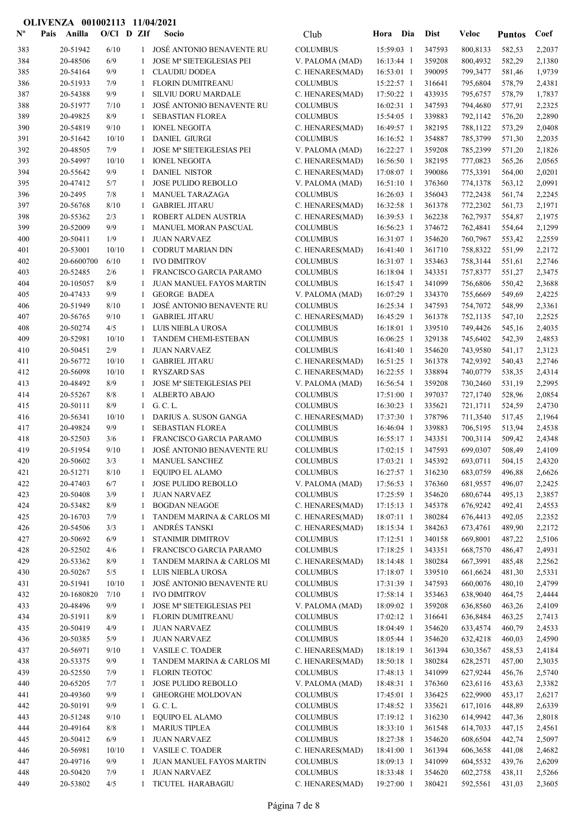| $\mathbf{N}^{\mathbf{o}}$ | Pais | Anilla                | $O/Cl$ D ZIf |                              | Socio                                               | Club                               | Hora Dia                   |            | <b>Dist</b>      | Veloc                | <b>Puntos</b>    | Coef             |
|---------------------------|------|-----------------------|--------------|------------------------------|-----------------------------------------------------|------------------------------------|----------------------------|------------|------------------|----------------------|------------------|------------------|
| 383                       |      | 20-51942              | 6/10         | $\mathbf{1}$                 | JOSÉ ANTONIO BENAVENTE RU                           | <b>COLUMBUS</b>                    | 15:59:03 1                 |            | 347593           | 800,8133             | 582,53           | 2,2037           |
| 384                       |      | 20-48506              | 6/9          | 1                            | JOSE Mª SIETEIGLESIAS PEI                           | V. PALOMA (MAD)                    | 16:13:44 1                 |            | 359208           | 800,4932             | 582,29           | 2,1380           |
| 385                       |      | 20-54164              | 9/9          | 1                            | <b>CLAUDIU DODEA</b>                                | C. HENARES(MAD)                    | 16:53:01 1                 |            | 390095           | 799,3477             | 581,46           | 1,9739           |
| 386                       |      | 20-51933              | 7/9          | -1                           | FLORIN DUMITREANU                                   | <b>COLUMBUS</b>                    | 15:22:57 1                 |            | 316641           | 795,6804             | 578,79           | 2,4381           |
| 387                       |      | 20-54388              | 9/9          | -1                           | <b>SILVIU DORU MARDALE</b>                          | C. HENARES(MAD)                    | 17:50:22 1                 |            | 433935           | 795,6757             | 578,79           | 1,7837           |
| 388                       |      | 20-51977              | 7/10         | $\mathbf{1}$                 | <b>JOSÉ ANTONIO BENAVENTE RU</b>                    | <b>COLUMBUS</b>                    | 16:02:31 1                 |            | 347593           | 794,4680             | 577,91           | 2,2325           |
| 389                       |      | 20-49825              | 8/9          | 1                            | <b>SEBASTIAN FLOREA</b>                             | <b>COLUMBUS</b>                    | 15:54:05 1                 |            | 339883           | 792,1142             | 576,20           | 2,2890           |
| 390                       |      | 20-54819              | 9/10         | -1                           | <b>IONEL NEGOITA</b><br><b>DANIEL GIURGI</b>        | C. HENARES(MAD)                    | 16:49:57 1                 |            | 382195           | 788,1122             | 573,29           | 2,0408           |
| 391<br>392                |      | 20-51642<br>20-48505  | 10/10<br>7/9 | -1<br>-1                     | <b>JOSE Mª SIETEIGLESIAS PEI</b>                    | <b>COLUMBUS</b><br>V. PALOMA (MAD) | 16:16:52 1<br>16:22:27 1   |            | 354887<br>359208 | 785,3799<br>785,2399 | 571,30<br>571,20 | 2,2035<br>2,1826 |
| 393                       |      | 20-54997              | 10/10        | -1                           | <b>IONEL NEGOITA</b>                                | C. HENARES(MAD)                    | 16:56:50 1                 |            | 382195           | 777,0823             | 565,26           | 2,0565           |
| 394                       |      | 20-55642              | 9/9          | 1                            | <b>DANIEL NISTOR</b>                                | C. HENARES(MAD)                    | 17:08:07 1                 |            | 390086           | 775,3391             | 564,00           | 2,0201           |
| 395                       |      | 20-47412              | 5/7          | 1                            | JOSE PULIDO REBOLLO                                 | V. PALOMA (MAD)                    | $16:51:10$ 1               |            | 376360           | 774,1378             | 563,12           | 2,0991           |
| 396                       |      | 20-2495               | 7/8          | 1                            | MANUEL TARAZAGA                                     | <b>COLUMBUS</b>                    | 16:26:03 1                 |            | 356043           | 772,2438             | 561,74           | 2,2245           |
| 397                       |      | 20-56768              | 8/10         | -1                           | <b>GABRIEL JITARU</b>                               | C. HENARES(MAD)                    | 16:32:58 1                 |            | 361378           | 772,2302             | 561,73           | 2,1971           |
| 398                       |      | 20-55362              | 2/3          | -1                           | ROBERT ALDEN AUSTRIA                                | C. HENARES(MAD)                    | 16:39:53 1                 |            | 362238           | 762,7937             | 554,87           | 2,1975           |
| 399                       |      | 20-52009              | 9/9          | 1                            | MANUEL MORAN PASCUAL                                | <b>COLUMBUS</b>                    | 16:56:23 1                 |            | 374672           | 762,4841             | 554,64           | 2,1299           |
| 400                       |      | 20-50411              | 1/9          | 1                            | <b>JUAN NARVAEZ</b>                                 | <b>COLUMBUS</b>                    | 16:31:07 1                 |            | 354620           | 760,7967             | 553,42           | 2,2559           |
| 401                       |      | 20-53001              | 10/10        | 1                            | CODRUT MARIAN DIN                                   | C. HENARES(MAD)                    | 16:41:40 1                 |            | 361710           | 758,8322             | 551,99           | 2,2172           |
| 402                       |      | 20-6600700            | 6/10         | -1                           | <b>IVO DIMITROV</b>                                 | <b>COLUMBUS</b>                    | 16:31:07 1                 |            | 353463           | 758,3144             | 551,61           | 2,2746           |
| 403<br>404                |      | 20-52485<br>20-105057 | 2/6<br>8/9   | 1<br>-1                      | FRANCISCO GARCIA PARAMO<br>JUAN MANUEL FAYOS MARTIN | <b>COLUMBUS</b><br><b>COLUMBUS</b> | 16:18:04 1<br>$16:15:47$ 1 |            | 343351<br>341099 | 757,8377<br>756,6806 | 551,27<br>550,42 | 2,3475<br>2,3688 |
| 405                       |      | 20-47433              | 9/9          | -1                           | <b>GEORGE BADEA</b>                                 | V. PALOMA (MAD)                    | 16:07:29 1                 |            | 334370           | 755,6669             | 549,69           | 2,4225           |
| 406                       |      | 20-51949              | 8/10         | $\mathbf{1}$                 | JOSÉ ANTONIO BENAVENTE RU                           | <b>COLUMBUS</b>                    | 16:25:34 1                 |            | 347593           | 754,7072             | 548,99           | 2,3361           |
| 407                       |      | 20-56765              | 9/10         | -1                           | <b>GABRIEL JITARU</b>                               | C. HENARES(MAD)                    | 16:45:29 1                 |            | 361378           | 752,1135             | 547,10           | 2,2525           |
| 408                       |      | 20-50274              | 4/5          | 1                            | LUIS NIEBLA UROSA                                   | <b>COLUMBUS</b>                    | 16:18:01 1                 |            | 339510           | 749,4426             | 545,16           | 2,4035           |
| 409                       |      | 20-52981              | 10/10        | -1                           | TANDEM CHEMI-ESTEBAN                                | <b>COLUMBUS</b>                    | 16:06:25 1                 |            | 329138           | 745,6402             | 542,39           | 2,4853           |
| 410                       |      | 20-50451              | 2/9          | $\mathbf{1}$                 | <b>JUAN NARVAEZ</b>                                 | <b>COLUMBUS</b>                    | 16:41:40 1                 |            | 354620           | 743,9580             | 541,17           | 2,3123           |
| 411                       |      | 20-56772              | 10/10        | -1                           | <b>GABRIEL JITARU</b>                               | C. HENARES(MAD)                    | 16:51:25 1                 |            | 361378           | 742,9392             | 540,43           | 2,2746           |
| 412                       |      | 20-56098              | 10/10        | -1                           | <b>RYSZARD SAS</b>                                  | C. HENARES(MAD)                    | 16:22:55 1                 |            | 338894           | 740,0779             | 538,35           | 2,4314           |
| 413                       |      | 20-48492              | 8/9          | 1                            | JOSE Mª SIETEIGLESIAS PEI                           | V. PALOMA (MAD)                    | 16:56:54 1                 |            | 359208           | 730,2460             | 531,19           | 2,2995           |
| 414                       |      | 20-55267              | 8/8          | -1                           | <b>ALBERTO ABAJO</b>                                | <b>COLUMBUS</b>                    | 17:51:00 1                 |            | 397037           | 727,1740             | 528,96           | 2,0854           |
| 415                       |      | 20-50111              | 8/9          | -1                           | G. C. L.                                            | <b>COLUMBUS</b>                    | 16:30:23 1                 |            | 335621           | 721,1711             | 524,59           | 2,4730           |
| 416                       |      | 20-56341              | 10/10<br>9/9 | -1                           | DARIUS A. SUSON GANGA<br><b>SEBASTIAN FLOREA</b>    | C. HENARES(MAD)                    | 17:37:30 1                 |            | 378796           | 711,3540             | 517,45           | 2,1964           |
| 417<br>418                |      | 20-49824<br>20-52503  | 3/6          | -1<br>$\mathbf{1}$           | FRANCISCO GARCIA PARAMO                             | <b>COLUMBUS</b><br><b>COLUMBUS</b> | 16:46:04 1<br>16:55:17 1   |            | 339883<br>343351 | 706,5195<br>700,3114 | 513,94<br>509,42 | 2,4538<br>2,4348 |
| 419                       |      | 20-51954              | 9/10         | $\mathbf{1}$                 | JOSÉ ANTONIO BENAVENTE RU                           | <b>COLUMBUS</b>                    | 17:02:15 1                 |            | 347593           | 699,0307             | 508,49           | 2,4109           |
| 420                       |      | 20-50602              | 3/3          |                              | 1 MANUEL SANCHEZ                                    | <b>COLUMBUS</b>                    |                            | 17:03:21 1 | 345392           | 693,0711             | 504,15           | 2,4320           |
| 421                       |      | 20-51271              | 8/10         | 1                            | EQUIPO EL ALAMO                                     | <b>COLUMBUS</b>                    | 16:27:57 1                 |            | 316230           | 683,0759             | 496,88           | 2,6626           |
| 422                       |      | 20-47403              | 6/7          | -1                           | JOSE PULIDO REBOLLO                                 | V. PALOMA (MAD)                    | 17:56:53 1                 |            | 376360           | 681,9557             | 496,07           | 2,2425           |
| 423                       |      | 20-50408              | 3/9          | -1                           | <b>JUAN NARVAEZ</b>                                 | <b>COLUMBUS</b>                    | 17:25:59 1                 |            | 354620           | 680,6744             | 495,13           | 2,3857           |
| 424                       |      | 20-53482              | 8/9          | -1                           | <b>BOGDAN NEAGOE</b>                                | C. HENARES(MAD)                    | 17:15:13 1                 |            | 345378           | 676,9242             | 492,41           | 2,4553           |
| 425                       |      | 20-16703              | 7/9          | 1                            | TANDEM MARINA & CARLOS MI                           | C. HENARES(MAD)                    | 18:07:11 1                 |            | 380284           | 676,4413             | 492,05           | 2,2352           |
| 426                       |      | 20-54506              | 3/3          |                              | ANDRÉS TANSKI                                       | C. HENARES(MAD)                    | 18:15:34 1                 |            | 384263           | 673,4761             | 489,90           | 2,2172           |
| 427                       |      | 20-50692              | 6/9          | 1                            | <b>STANIMIR DIMITROV</b>                            | <b>COLUMBUS</b>                    | 17:12:51 1                 |            | 340158           | 669,8001             | 487,22           | 2,5106           |
| 428                       |      | 20-52502              | 4/6          | 1                            | FRANCISCO GARCIA PARAMO                             | <b>COLUMBUS</b>                    | 17:18:25 1                 |            | 343351           | 668,7570             | 486,47           | 2,4931           |
| 429                       |      | 20-53362              | 8/9          | 1                            | TANDEM MARINA & CARLOS MI<br>LUIS NIEBLA UROSA      | C. HENARES(MAD)                    | 18:14:48 1                 |            | 380284           | 667,3991             | 485,48           | 2,2562           |
| 430<br>431                |      | 20-50267<br>20-51941  | 5/5<br>10/10 | 1<br>$\mathbf{1}$            | JOSÉ ANTONIO BENAVENTE RU                           | <b>COLUMBUS</b><br><b>COLUMBUS</b> | 17:18:07 1<br>17:31:39 1   |            | 339510<br>347593 | 661,6624<br>660,0076 | 481,30<br>480,10 | 2,5331<br>2,4799 |
| 432                       |      | 20-1680820            | 7/10         | -1                           | <b>IVO DIMITROV</b>                                 | <b>COLUMBUS</b>                    | 17:58:14 1                 |            | 353463           | 638,9040             | 464,75           | 2,4444           |
| 433                       |      | 20-48496              | 9/9          | 1                            | JOSE Mª SIETEIGLESIAS PEI                           | V. PALOMA (MAD)                    | 18:09:02 1                 |            | 359208           | 636,8560             | 463,26           | 2,4109           |
| 434                       |      | 20-51911              | 8/9          | -1                           | FLORIN DUMITREANU                                   | <b>COLUMBUS</b>                    | 17:02:12 1                 |            | 316641           | 636,8484             | 463,25           | 2,7413           |
| 435                       |      | 20-50419              | 4/9          | -1                           | <b>JUAN NARVAEZ</b>                                 | <b>COLUMBUS</b>                    | 18:04:49 1                 |            | 354620           | 633,4574             | 460,79           | 2,4533           |
| 436                       |      | 20-50385              | 5/9          | 1                            | <b>JUAN NARVAEZ</b>                                 | <b>COLUMBUS</b>                    | 18:05:44 1                 |            | 354620           | 632,4218             | 460,03           | 2,4590           |
| 437                       |      | 20-56971              | 9/10         | $\mathbf{1}$                 | <b>VASILE C. TOADER</b>                             | C. HENARES(MAD)                    | 18:18:19 1                 |            | 361394           | 630,3567             | 458,53           | 2,4184           |
| 438                       |      | 20-53375              | 9/9          | -1                           | TANDEM MARINA & CARLOS MI                           | C. HENARES(MAD)                    | 18:50:18 1                 |            | 380284           | 628,2571             | 457,00           | 2,3035           |
| 439                       |      | 20-52550              | 7/9          | -1                           | <b>FLORIN TEOTOC</b>                                | <b>COLUMBUS</b>                    | 17:48:13 1                 |            | 341099           | 627,9244             | 456,76           | 2,5740           |
| 440                       |      | 20-65205              | 7/7          | -1                           | JOSE PULIDO REBOLLO                                 | V. PALOMA (MAD)                    | 18:48:31 1                 |            | 376360           | 623,6116             | 453,63           | 2,3382           |
| 441                       |      | 20-49360              | 9/9          | 1                            | <b>GHEORGHE MOLDOVAN</b>                            | <b>COLUMBUS</b>                    | $17:45:01$ 1               |            | 336425           | 622,9900             | 453,17           | 2,6217           |
| 442<br>443                |      | 20-50191<br>20-51248  | 9/9<br>9/10  | $\mathbf{1}$<br>$\mathbf{1}$ | G. C. L.<br>EQUIPO EL ALAMO                         | <b>COLUMBUS</b><br><b>COLUMBUS</b> | 17:48:52 1<br>17:19:12 1   |            | 335621<br>316230 | 617,1016<br>614,9942 | 448,89<br>447,36 | 2,6339<br>2,8018 |
| 444                       |      | 20-49164              | 8/8          | 1                            | <b>MARIUS TIPLEA</b>                                | <b>COLUMBUS</b>                    | 18:33:10 1                 |            | 361548           | 614,7033             | 447,15           | 2,4561           |
| 445                       |      | 20-50412              | 6/9          | -1                           | <b>JUAN NARVAEZ</b>                                 | <b>COLUMBUS</b>                    | 18:27:38 1                 |            | 354620           | 608,6504             | 442,74           | 2,5097           |
| 446                       |      | 20-56981              | 10/10        | $\mathbf{1}$                 | <b>VASILE C. TOADER</b>                             | C. HENARES(MAD)                    | 18:41:00 1                 |            | 361394           | 606,3658             | 441,08           | 2,4682           |
| 447                       |      | 20-49716              | 9/9          | -1                           | JUAN MANUEL FAYOS MARTIN                            | <b>COLUMBUS</b>                    | 18:09:13 1                 |            | 341099           | 604,5532             | 439,76           | 2,6209           |
| 448                       |      | 20-50420              | 7/9          | -1                           | <b>JUAN NARVAEZ</b>                                 | <b>COLUMBUS</b>                    | 18:33:48 1                 |            | 354620           | 602,2758             | 438,11           | 2,5266           |
| 449                       |      | 20-53802              | 4/5          | -1                           | TICUTEL HARABAGIU                                   | C. HENARES(MAD)                    | 19:27:00 1                 |            | 380421           | 592,5561             | 431,03           | 2,3605           |